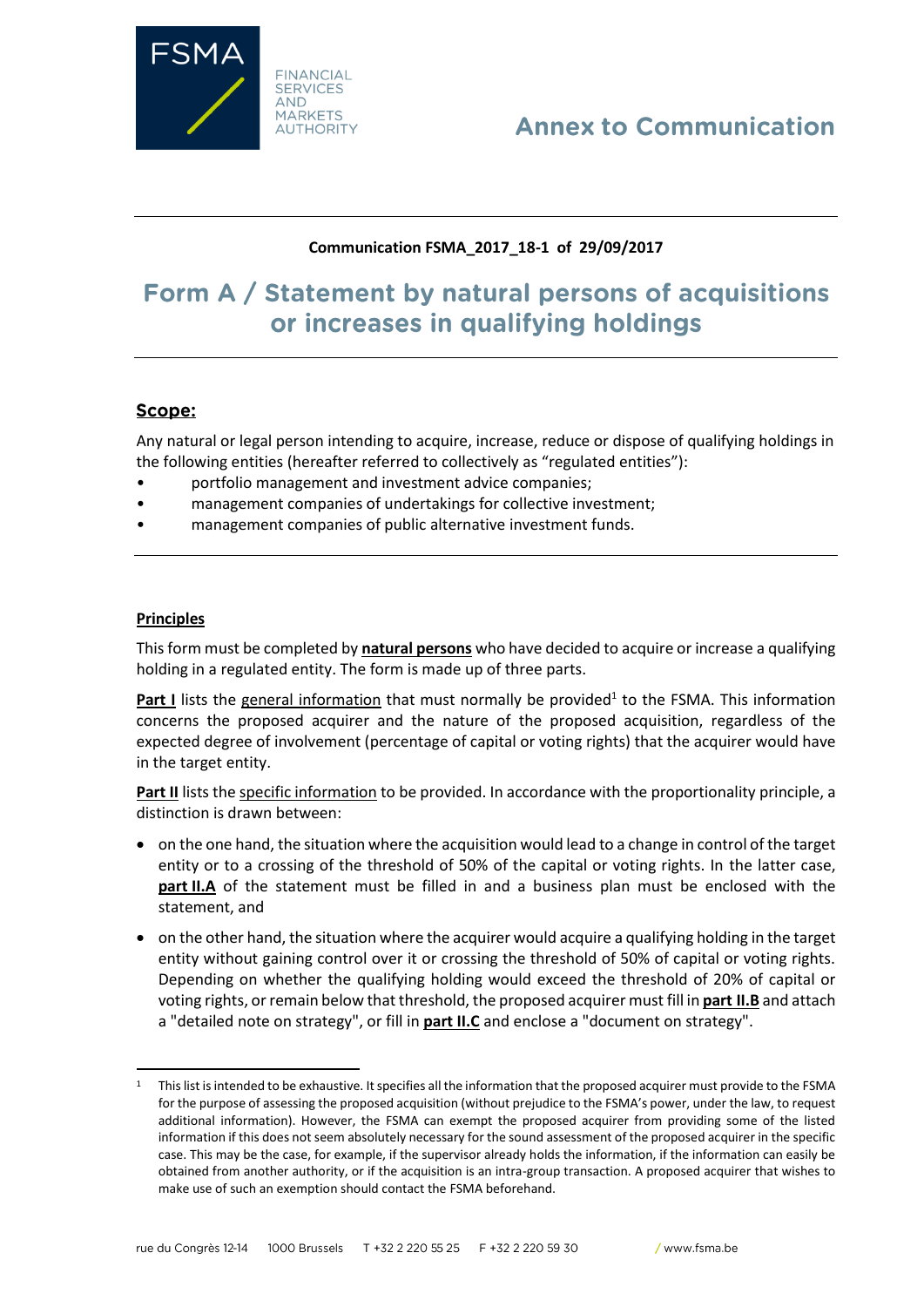

# **Annex to Communication**

## **Communication FSMA\_2017\_18-1 of 29/09/2017**

# Form A / Statement by natural persons of acquisitions or increases in qualifying holdings

## Scope:

Any natural or legal person intending to acquire, increase, reduce or dispose of qualifying holdings in the following entities (hereafter referred to collectively as "regulated entities"):

- portfolio management and investment advice companies;
- management companies of undertakings for collective investment;
- management companies of public alternative investment funds.

#### **Principles**

 $\overline{\phantom{a}}$ 

This form must be completed by **natural persons** who have decided to acquire or increase a qualifying holding in a regulated entity. The form is made up of three parts.

Part I lists the general information that must normally be provided<sup>1</sup> to the FSMA. This information concerns the proposed acquirer and the nature of the proposed acquisition, regardless of the expected degree of involvement (percentage of capital or voting rights) that the acquirer would have in the target entity.

**Part II** lists the specific information to be provided. In accordance with the proportionality principle, a distinction is drawn between:

- on the one hand, the situation where the acquisition would lead to a change in control of the target entity or to a crossing of the threshold of 50% of the capital or voting rights. In the latter case, **part II.A** of the statement must be filled in and a business plan must be enclosed with the statement, and
- on the other hand, the situation where the acquirer would acquire a qualifying holding in the target entity without gaining control over it or crossing the threshold of 50% of capital or voting rights. Depending on whether the qualifying holding would exceed the threshold of 20% of capital or voting rights, or remain below that threshold, the proposed acquirer must fill in **part II.B** and attach a "detailed note on strategy", or fill in **part II.C** and enclose a "document on strategy".

<sup>&</sup>lt;sup>1</sup> This list is intended to be exhaustive. It specifies all the information that the proposed acquirer must provide to the FSMA for the purpose of assessing the proposed acquisition (without prejudice to the FSMA's power, under the law, to request additional information). However, the FSMA can exempt the proposed acquirer from providing some of the listed information if this does not seem absolutely necessary for the sound assessment of the proposed acquirer in the specific case. This may be the case, for example, if the supervisor already holds the information, if the information can easily be obtained from another authority, or if the acquisition is an intra-group transaction. A proposed acquirer that wishes to make use of such an exemption should contact the FSMA beforehand.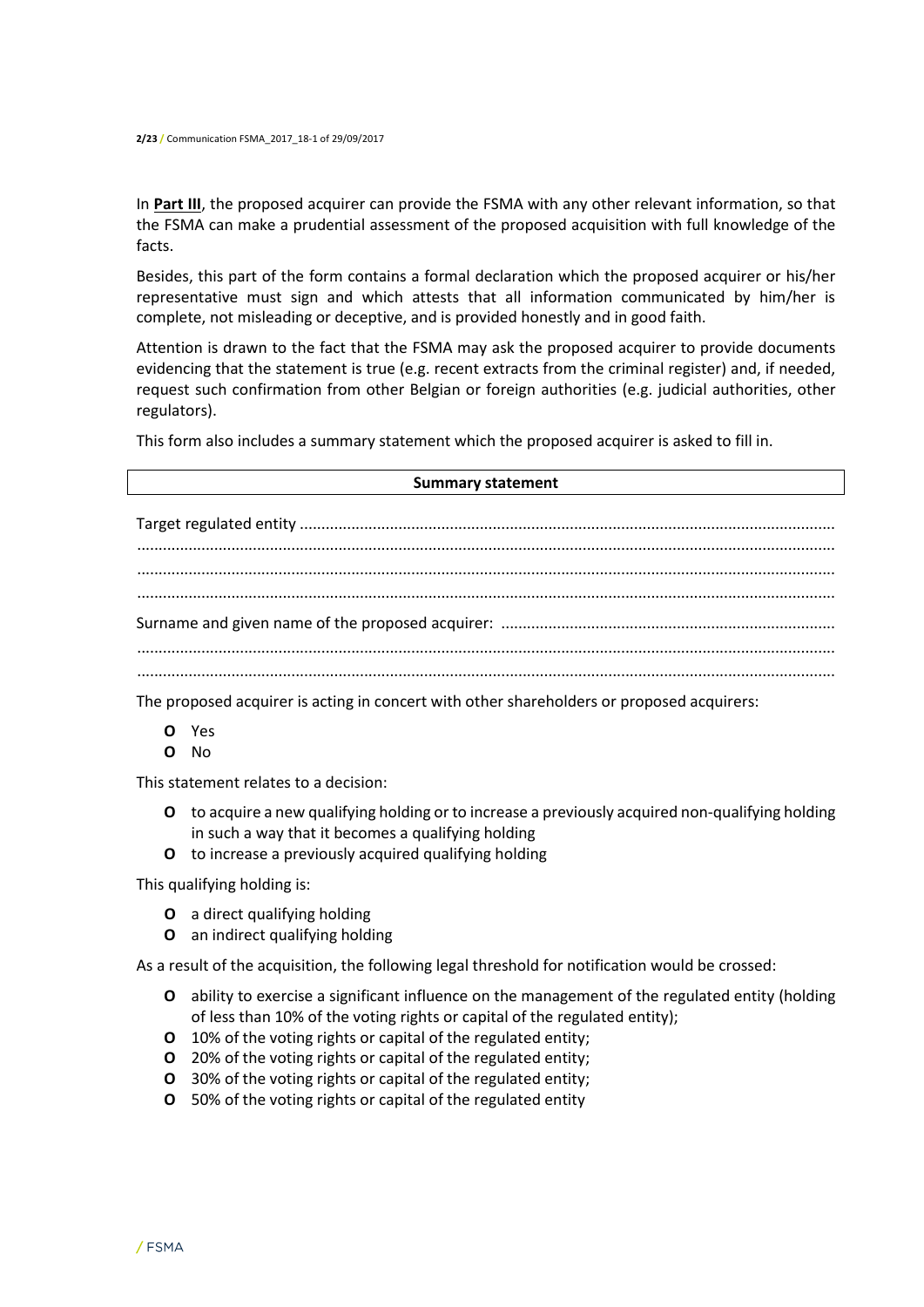In **Part III**, the proposed acquirer can provide the FSMA with any other relevant information, so that the FSMA can make a prudential assessment of the proposed acquisition with full knowledge of the facts.

Besides, this part of the form contains a formal declaration which the proposed acquirer or his/her representative must sign and which attests that all information communicated by him/her is complete, not misleading or deceptive, and is provided honestly and in good faith.

Attention is drawn to the fact that the FSMA may ask the proposed acquirer to provide documents evidencing that the statement is true (e.g. recent extracts from the criminal register) and, if needed, request such confirmation from other Belgian or foreign authorities (e.g. judicial authorities, other regulators).

This form also includes a summary statement which the proposed acquirer is asked to fill in.

The proposed acquirer is acting in concert with other shareholders or proposed acquirers:

- **O** Yes
- **O** No

This statement relates to a decision:

- **O** to acquire a new qualifying holding or to increase a previously acquired non-qualifying holding in such a way that it becomes a qualifying holding
- **O** to increase a previously acquired qualifying holding

This qualifying holding is:

- **O** a direct qualifying holding
- **O** an indirect qualifying holding

As a result of the acquisition, the following legal threshold for notification would be crossed:

- **O** ability to exercise a significant influence on the management of the regulated entity (holding of less than 10% of the voting rights or capital of the regulated entity);
- **O** 10% of the voting rights or capital of the regulated entity;
- **O** 20% of the voting rights or capital of the regulated entity;
- **O** 30% of the voting rights or capital of the regulated entity;
- **O** 50% of the voting rights or capital of the regulated entity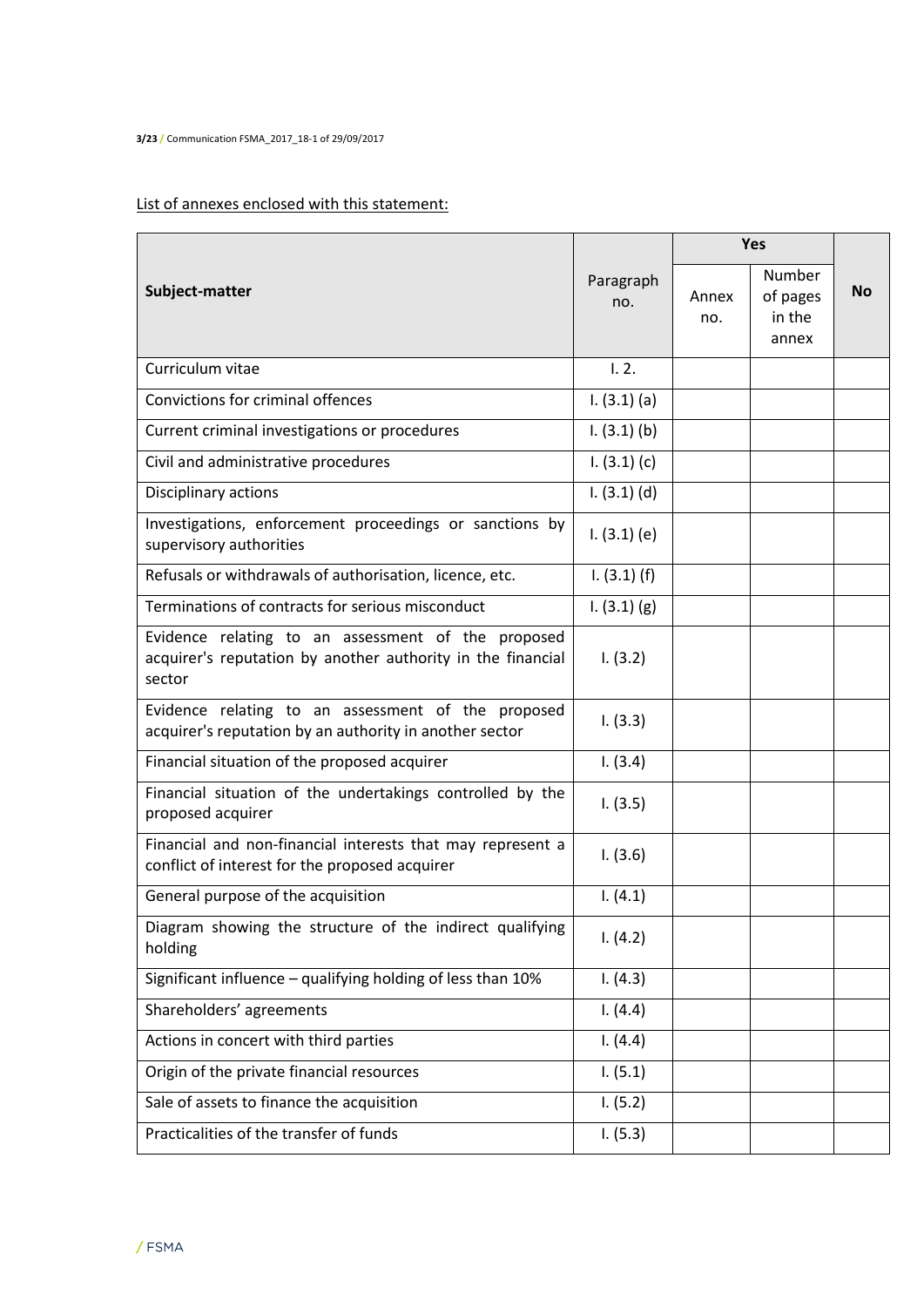# List of annexes enclosed with this statement:

|                                                                                                                             |                  |              | Yes                                   |           |
|-----------------------------------------------------------------------------------------------------------------------------|------------------|--------------|---------------------------------------|-----------|
| Subject-matter                                                                                                              | Paragraph<br>no. | Annex<br>no. | Number<br>of pages<br>in the<br>annex | <b>No</b> |
| Curriculum vitae                                                                                                            | 1.2.             |              |                                       |           |
| Convictions for criminal offences                                                                                           | $1. (3.1)$ (a)   |              |                                       |           |
| Current criminal investigations or procedures                                                                               | 1. (3.1) (b)     |              |                                       |           |
| Civil and administrative procedures                                                                                         | 1. (3.1) (c)     |              |                                       |           |
| Disciplinary actions                                                                                                        | $1. (3.1)$ (d)   |              |                                       |           |
| Investigations, enforcement proceedings or sanctions by<br>supervisory authorities                                          | 1. (3.1) (e)     |              |                                       |           |
| Refusals or withdrawals of authorisation, licence, etc.                                                                     | 1. (3.1) (f)     |              |                                       |           |
| Terminations of contracts for serious misconduct                                                                            | 1. (3.1) (g)     |              |                                       |           |
| Evidence relating to an assessment of the proposed<br>acquirer's reputation by another authority in the financial<br>sector | 1. (3.2)         |              |                                       |           |
| Evidence relating to an assessment of the proposed<br>acquirer's reputation by an authority in another sector               | 1. (3.3)         |              |                                       |           |
| Financial situation of the proposed acquirer                                                                                | 1. (3.4)         |              |                                       |           |
| Financial situation of the undertakings controlled by the<br>proposed acquirer                                              | 1. (3.5)         |              |                                       |           |
| Financial and non-financial interests that may represent a<br>conflict of interest for the proposed acquirer                | 1. (3.6)         |              |                                       |           |
| General purpose of the acquisition                                                                                          | 1. (4.1)         |              |                                       |           |
| Diagram showing the structure of the indirect qualifying<br>holding                                                         | 1. (4.2)         |              |                                       |           |
| Significant influence - qualifying holding of less than 10%                                                                 | 1. (4.3)         |              |                                       |           |
| Shareholders' agreements                                                                                                    | 1. (4.4)         |              |                                       |           |
| Actions in concert with third parties                                                                                       | 1. (4.4)         |              |                                       |           |
| Origin of the private financial resources                                                                                   | 1. (5.1)         |              |                                       |           |
| Sale of assets to finance the acquisition                                                                                   | 1. (5.2)         |              |                                       |           |
| Practicalities of the transfer of funds                                                                                     | 1. (5.3)         |              |                                       |           |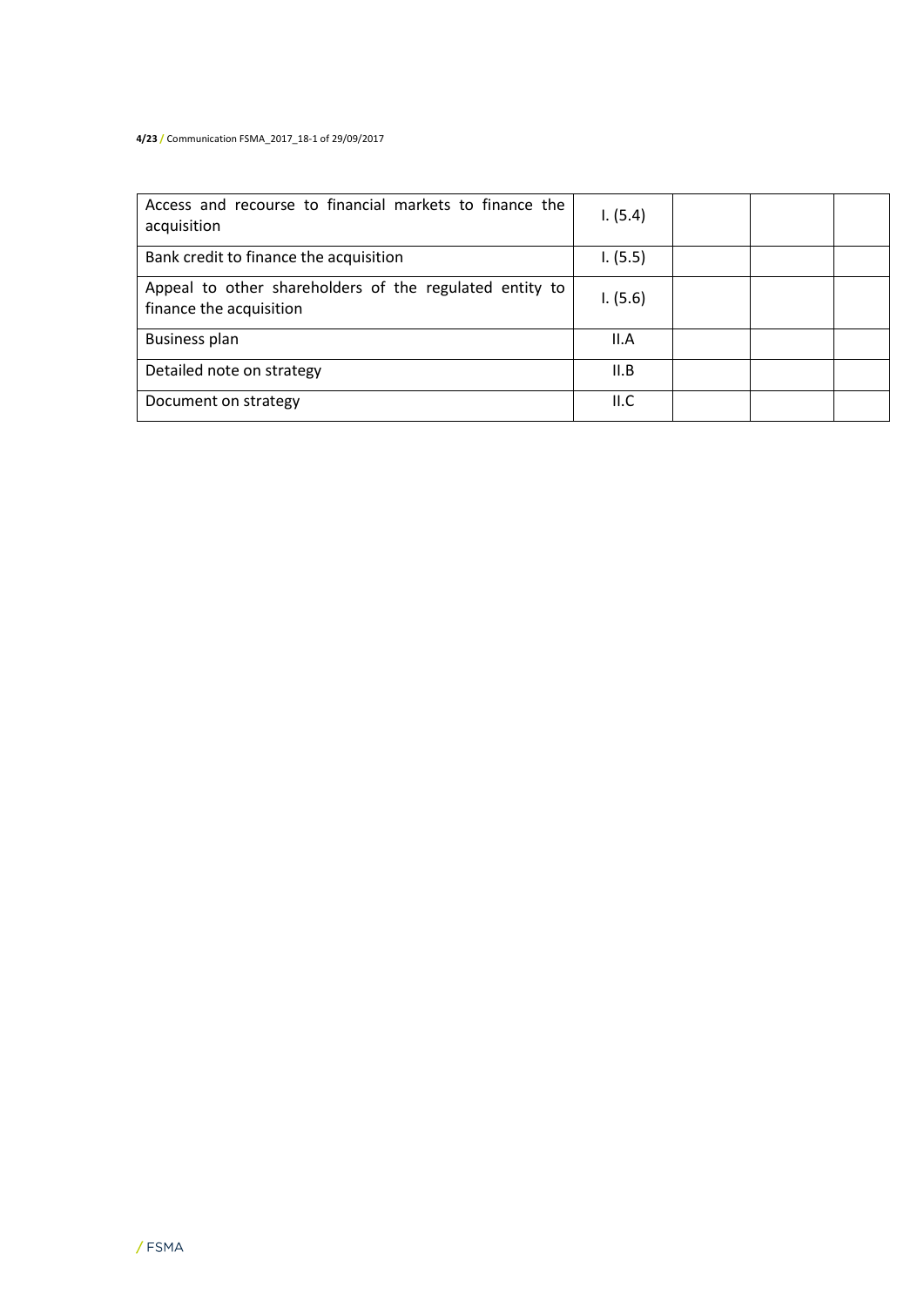#### **4/23 /** Communication FSMA\_2017\_18-1 of 29/09/2017

| Access and recourse to financial markets to finance the<br>acquisition             | 1. (5.4) |  |  |
|------------------------------------------------------------------------------------|----------|--|--|
| Bank credit to finance the acquisition                                             | 1. (5.5) |  |  |
| Appeal to other shareholders of the regulated entity to<br>finance the acquisition | 1. (5.6) |  |  |
| <b>Business plan</b>                                                               | II.A     |  |  |
| Detailed note on strategy                                                          | II.B     |  |  |
| Document on strategy                                                               | II.C     |  |  |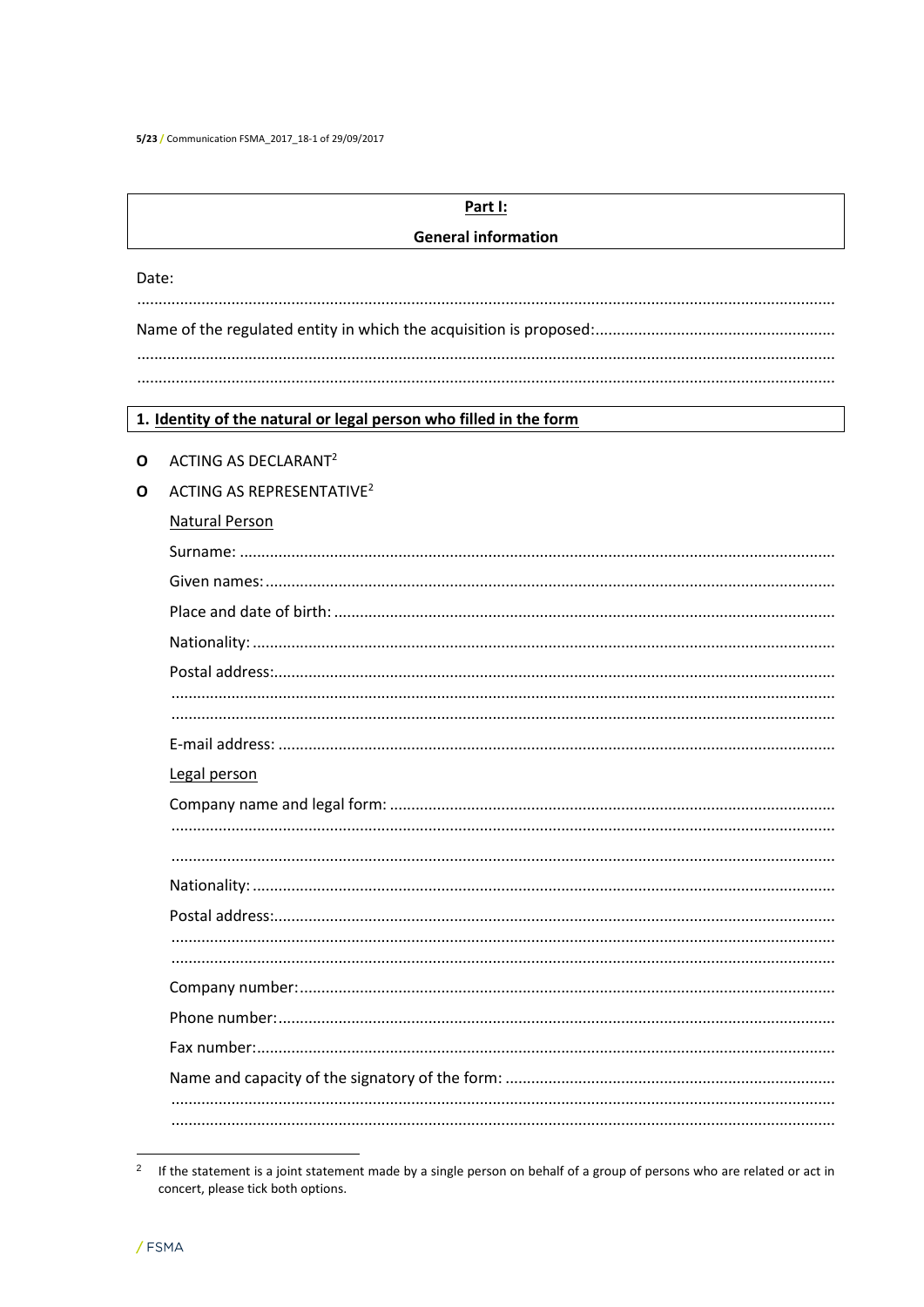|       | Part I:                                                           |  |  |  |  |  |  |
|-------|-------------------------------------------------------------------|--|--|--|--|--|--|
|       | <b>General information</b>                                        |  |  |  |  |  |  |
| Date: |                                                                   |  |  |  |  |  |  |
|       |                                                                   |  |  |  |  |  |  |
|       |                                                                   |  |  |  |  |  |  |
|       |                                                                   |  |  |  |  |  |  |
|       |                                                                   |  |  |  |  |  |  |
|       | 1. Identity of the natural or legal person who filled in the form |  |  |  |  |  |  |
| O     | ACTING AS DECLARANT <sup>2</sup>                                  |  |  |  |  |  |  |
| O     | ACTING AS REPRESENTATIVE <sup>2</sup>                             |  |  |  |  |  |  |
|       | <b>Natural Person</b>                                             |  |  |  |  |  |  |
|       |                                                                   |  |  |  |  |  |  |
|       |                                                                   |  |  |  |  |  |  |
|       |                                                                   |  |  |  |  |  |  |
|       |                                                                   |  |  |  |  |  |  |
|       |                                                                   |  |  |  |  |  |  |
|       |                                                                   |  |  |  |  |  |  |
|       |                                                                   |  |  |  |  |  |  |
|       | Legal person                                                      |  |  |  |  |  |  |
|       |                                                                   |  |  |  |  |  |  |
|       |                                                                   |  |  |  |  |  |  |
|       |                                                                   |  |  |  |  |  |  |
|       | Nationality:                                                      |  |  |  |  |  |  |
|       |                                                                   |  |  |  |  |  |  |
|       |                                                                   |  |  |  |  |  |  |
|       |                                                                   |  |  |  |  |  |  |
|       |                                                                   |  |  |  |  |  |  |
|       |                                                                   |  |  |  |  |  |  |
|       |                                                                   |  |  |  |  |  |  |
|       |                                                                   |  |  |  |  |  |  |
|       |                                                                   |  |  |  |  |  |  |

<sup>&</sup>lt;sup>2</sup> If the statement is a joint statement made by a single person on behalf of a group of persons who are related or act in concert, please tick both options.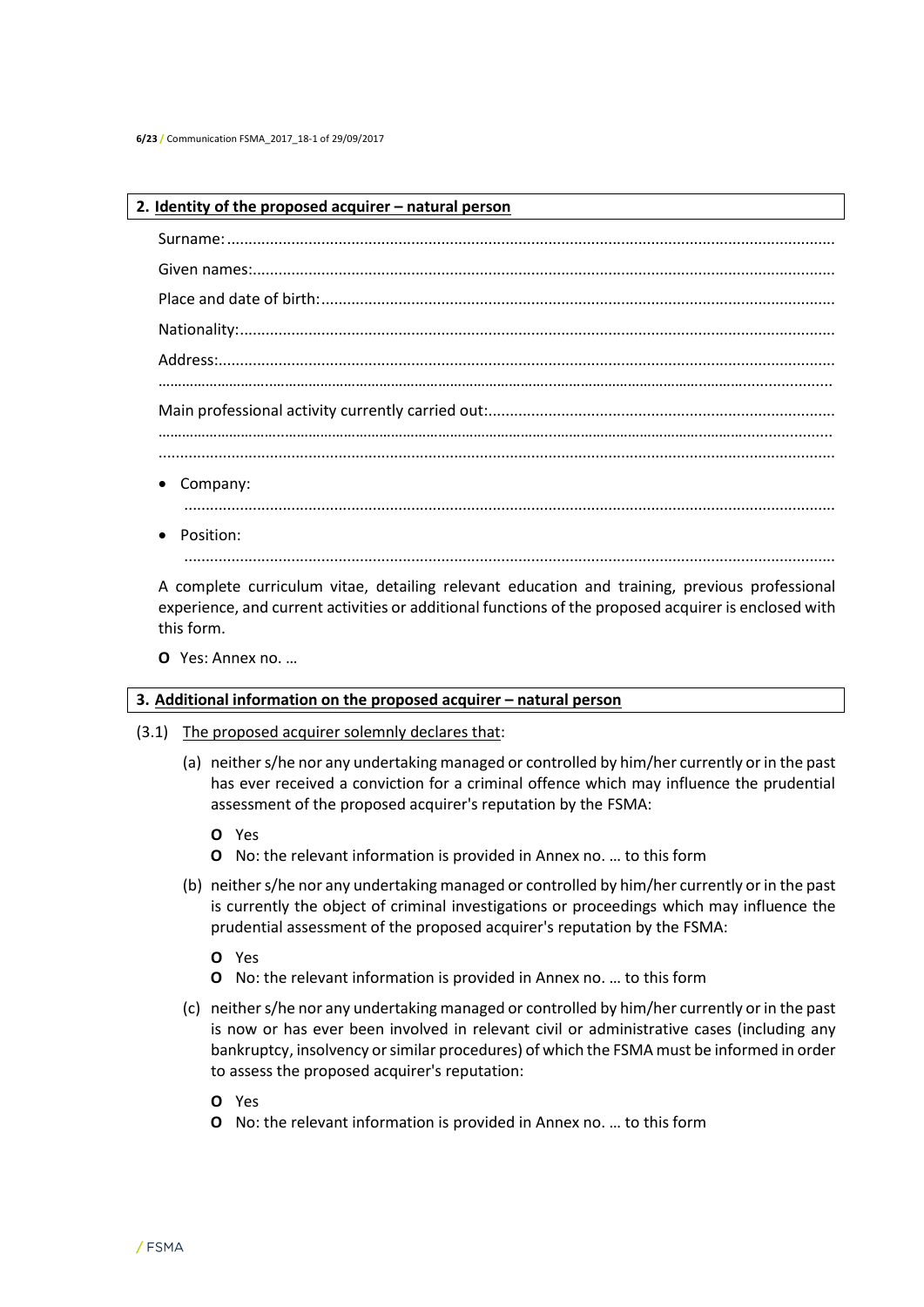#### **2. Identity of the proposed acquirer – natural person**

| • Company:          |
|---------------------|
| $\bullet$ Position: |

A complete curriculum vitae, detailing relevant education and training, previous professional experience, and current activities or additional functions of the proposed acquirer is enclosed with this form.

........................................................................................................................................................

**O** Yes: Annex no. …

#### **3. Additional information on the proposed acquirer – natural person**

- (3.1) The proposed acquirer solemnly declares that:
	- (a) neither s/he nor any undertaking managed or controlled by him/her currently or in the past has ever received a conviction for a criminal offence which may influence the prudential assessment of the proposed acquirer's reputation by the FSMA:
		- **O** Yes
		- **O** No: the relevant information is provided in Annex no. … to this form
	- (b) neither s/he nor any undertaking managed or controlled by him/her currently or in the past is currently the object of criminal investigations or proceedings which may influence the prudential assessment of the proposed acquirer's reputation by the FSMA:
		- **O** Yes
		- **O** No: the relevant information is provided in Annex no. … to this form
	- (c) neither s/he nor any undertaking managed or controlled by him/her currently or in the past is now or has ever been involved in relevant civil or administrative cases (including any bankruptcy, insolvency or similar procedures) of which the FSMA must be informed in order to assess the proposed acquirer's reputation:
		- **O** Yes
		- **O** No: the relevant information is provided in Annex no. … to this form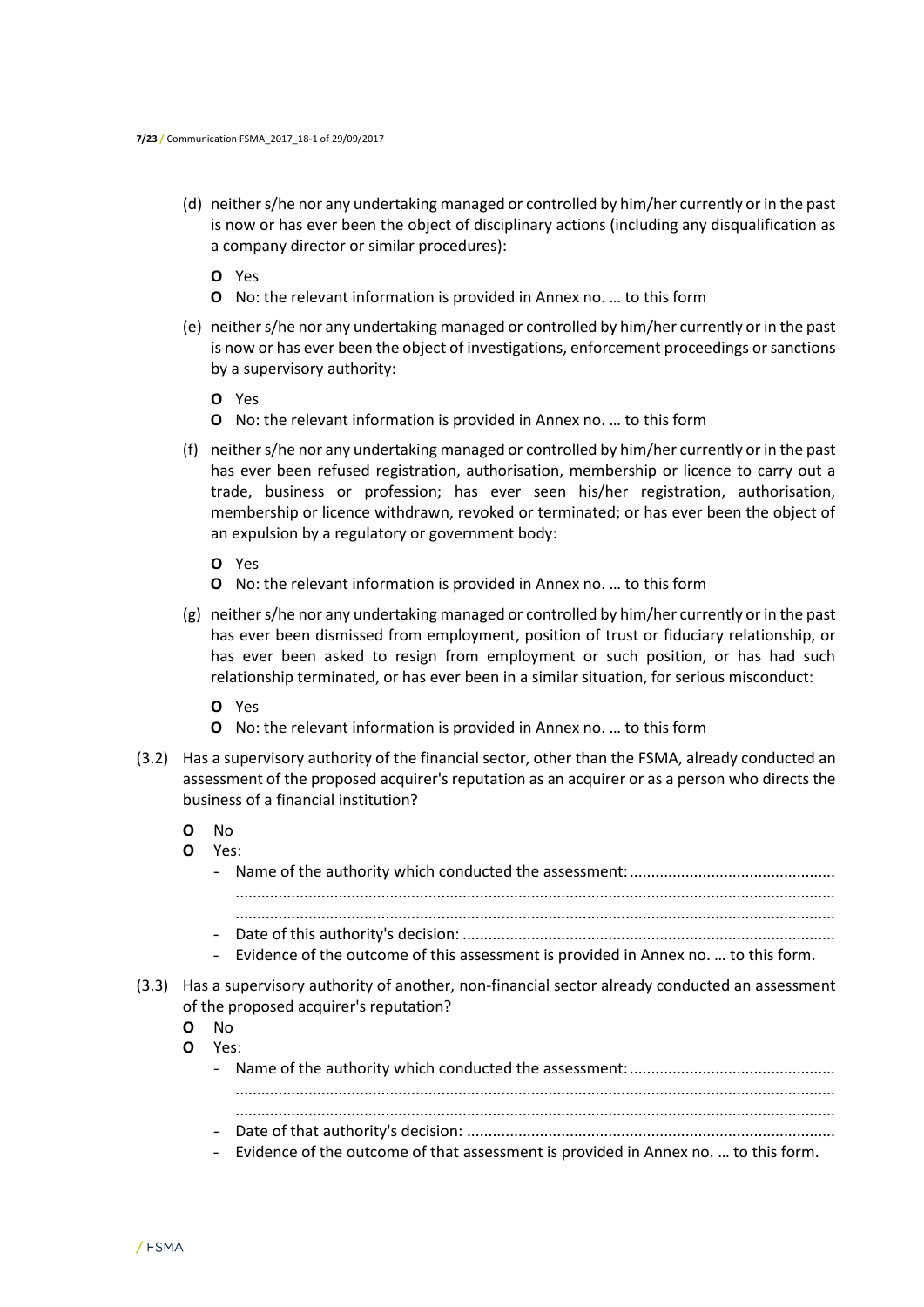- (d) neither s/he nor any undertaking managed or controlled by him/her currently or in the past is now or has ever been the object of disciplinary actions (including any disqualification as a company director or similar procedures):
	- **O** Yes
	- **O** No: the relevant information is provided in Annex no. … to this form
- (e) neither s/he nor any undertaking managed or controlled by him/her currently or in the past is now or has ever been the object of investigations, enforcement proceedings or sanctions by a supervisory authority:
	- **O** Yes
	- **O** No: the relevant information is provided in Annex no. … to this form
- (f) neither s/he nor any undertaking managed or controlled by him/her currently or in the past has ever been refused registration, authorisation, membership or licence to carry out a trade, business or profession; has ever seen his/her registration, authorisation, membership or licence withdrawn, revoked or terminated; or has ever been the object of an expulsion by a regulatory or government body:
	- **O** Yes
	- **O** No: the relevant information is provided in Annex no. … to this form
- (g) neither s/he nor any undertaking managed or controlled by him/her currently or in the past has ever been dismissed from employment, position of trust or fiduciary relationship, or has ever been asked to resign from employment or such position, or has had such relationship terminated, or has ever been in a similar situation, for serious misconduct:
	- **O** Yes
	- **O** No: the relevant information is provided in Annex no. … to this form
- (3.2) Has a supervisory authority of the financial sector, other than the FSMA, already conducted an assessment of the proposed acquirer's reputation as an acquirer or as a person who directs the business of a financial institution?
	- **O** No
	- **O** Yes:

|       |   | $\overline{\phantom{a}}$<br>Evidence of the outcome of this assessment is provided in Annex no.  to this form.<br>$\overline{\phantom{a}}$ |
|-------|---|--------------------------------------------------------------------------------------------------------------------------------------------|
| (3.3) |   | Has a supervisory authority of another, non-financial sector already conducted an assessment<br>of the proposed acquirer's reputation?     |
|       | Ω | No.                                                                                                                                        |
|       | 0 | Yes:                                                                                                                                       |
|       |   |                                                                                                                                            |
|       |   | $\overline{\phantom{a}}$                                                                                                                   |

- Evidence of the outcome of that assessment is provided in Annex no. … to this form.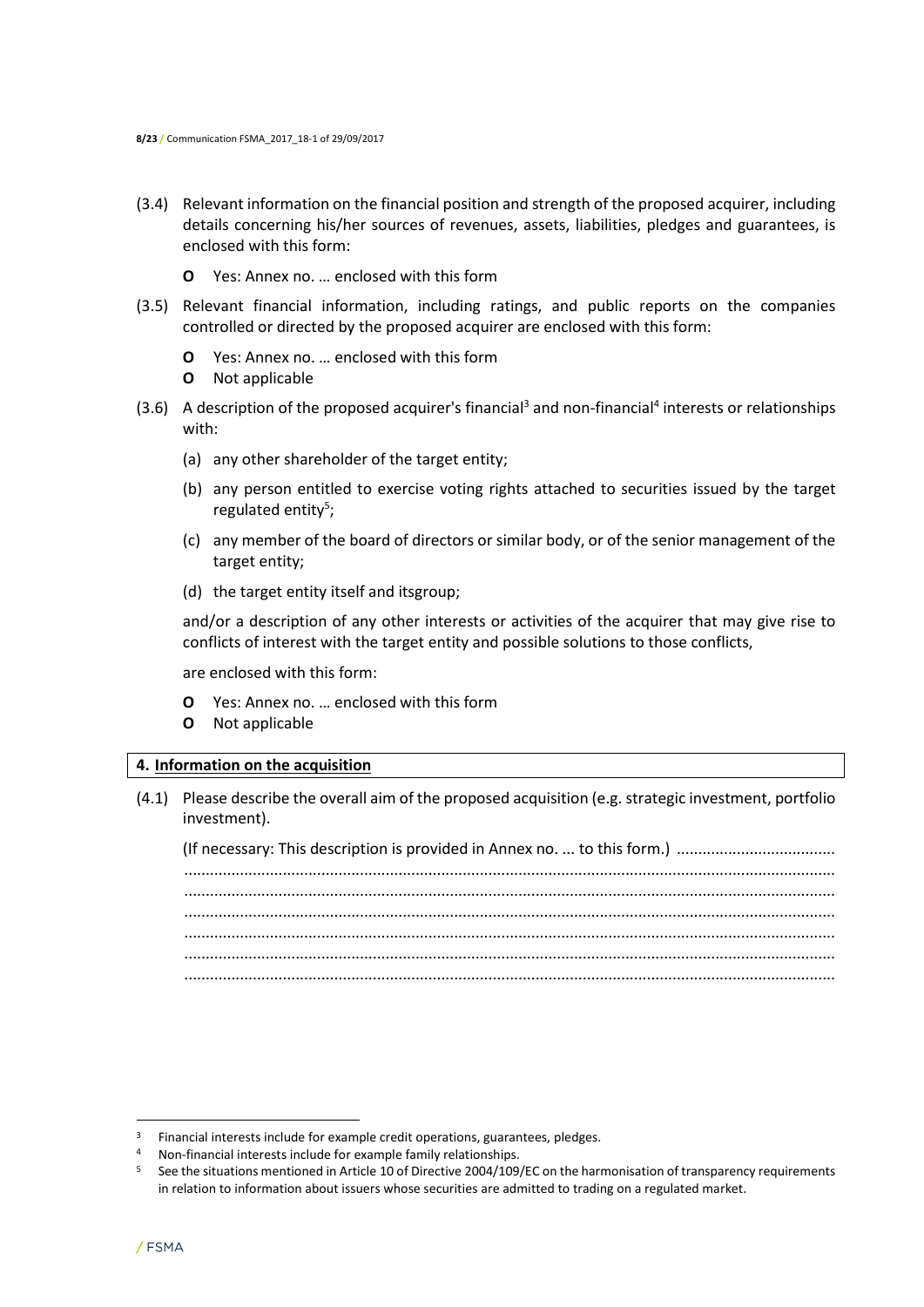- (3.4) Relevant information on the financial position and strength of the proposed acquirer, including details concerning his/her sources of revenues, assets, liabilities, pledges and guarantees, is enclosed with this form:
	- **O** Yes: Annex no. … enclosed with this form
- (3.5) Relevant financial information, including ratings, and public reports on the companies controlled or directed by the proposed acquirer are enclosed with this form:
	- **O** Yes: Annex no. … enclosed with this form
	- **O** Not applicable
- $(3.6)$  A description of the proposed acquirer's financial<sup>3</sup> and non-financial<sup>4</sup> interests or relationships with:
	- (a) any other shareholder of the target entity;
	- (b) any person entitled to exercise voting rights attached to securities issued by the target regulated entity<sup>5</sup>;
	- (c) any member of the board of directors or similar body, or of the senior management of the target entity;
	- (d) the target entity itself and itsgroup;

and/or a description of any other interests or activities of the acquirer that may give rise to conflicts of interest with the target entity and possible solutions to those conflicts,

are enclosed with this form:

- **O** Yes: Annex no. … enclosed with this form
- **O** Not applicable

#### **4. Information on the acquisition**

(4.1) Please describe the overall aim of the proposed acquisition (e.g. strategic investment, portfolio investment).

(If necessary: This description is provided in Annex no. ... to this form.) ..................................... ........................................................................................................................................................ ........................................................................................................................................................ ........................................................................................................................................................ ........................................................................................................................................................ ........................................................................................................................................................ ........................................................................................................................................................

 $\overline{\phantom{a}}$ 

 $3$  Financial interests include for example credit operations, guarantees, pledges.

<sup>4</sup> Non-financial interests include for example family relationships.

<sup>&</sup>lt;sup>5</sup> See the situations mentioned in Article 10 of Directive 2004/109/EC on the harmonisation of transparency requirements in relation to information about issuers whose securities are admitted to trading on a regulated market.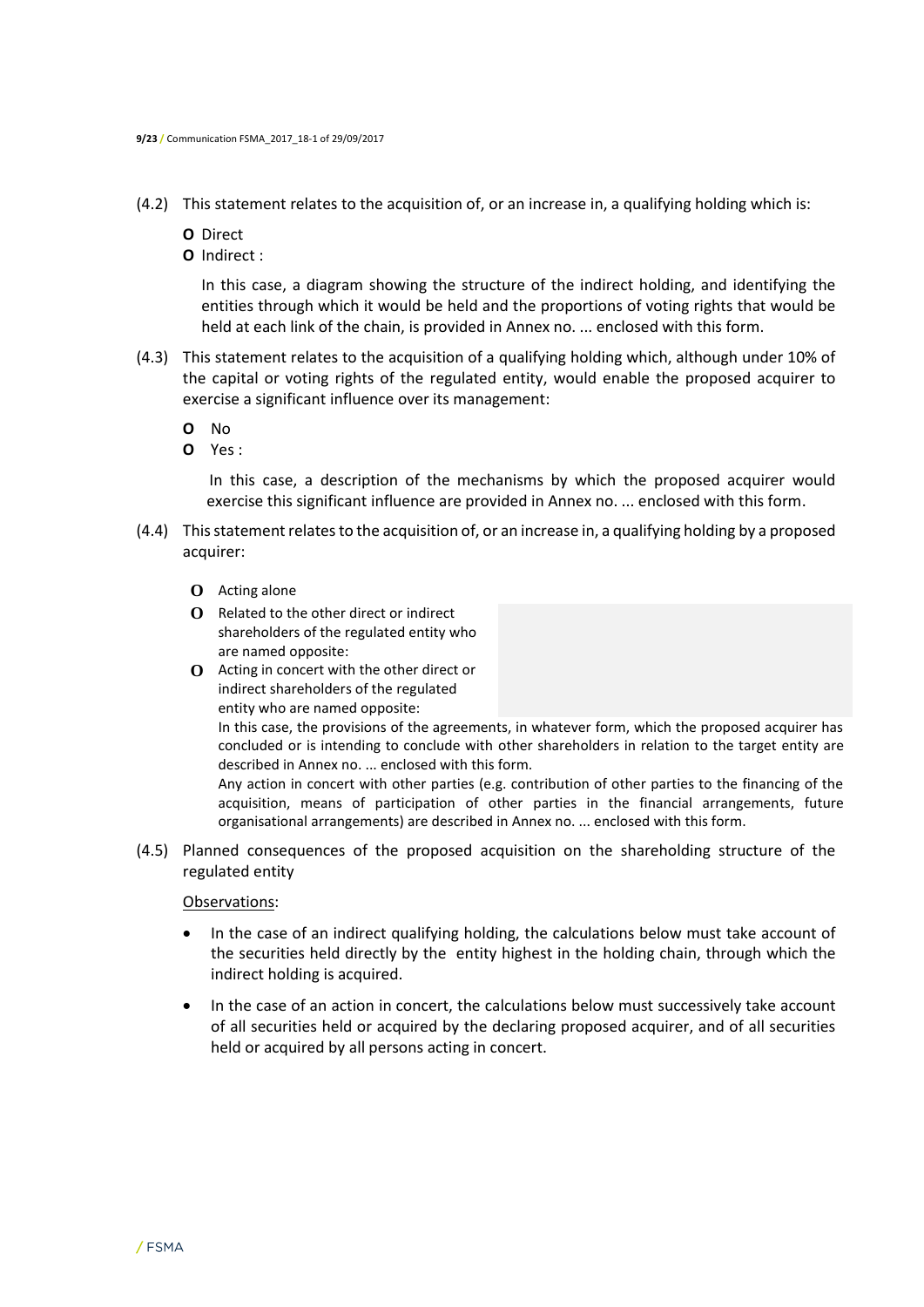- (4.2) This statement relates to the acquisition of, or an increase in, a qualifying holding which is:
	- **O** Direct
	- **O** Indirect :

In this case, a diagram showing the structure of the indirect holding, and identifying the entities through which it would be held and the proportions of voting rights that would be held at each link of the chain, is provided in Annex no. ... enclosed with this form.

(4.3) This statement relates to the acquisition of a qualifying holding which, although under 10% of the capital or voting rights of the regulated entity, would enable the proposed acquirer to exercise a significant influence over its management:

**O** No

**O** Yes :

In this case, a description of the mechanisms by which the proposed acquirer would exercise this significant influence are provided in Annex no. ... enclosed with this form.

- (4.4) This statement relates to the acquisition of, or an increase in, a qualifying holding by a proposed acquirer:
	- **O** Acting alone
	- **O** Related to the other direct or indirect shareholders of the regulated entity who are named opposite:
	- **O** Acting in concert with the other direct or indirect shareholders of the regulated entity who are named opposite:

In this case, the provisions of the agreements, in whatever form, which the proposed acquirer has concluded or is intending to conclude with other shareholders in relation to the target entity are described in Annex no. ... enclosed with this form.

Any action in concert with other parties (e.g. contribution of other parties to the financing of the acquisition, means of participation of other parties in the financial arrangements, future organisational arrangements) are described in Annex no. ... enclosed with this form.

(4.5) Planned consequences of the proposed acquisition on the shareholding structure of the regulated entity

#### Observations:

- In the case of an indirect qualifying holding, the calculations below must take account of the securities held directly by the entity highest in the holding chain, through which the indirect holding is acquired.
- In the case of an action in concert, the calculations below must successively take account of all securities held or acquired by the declaring proposed acquirer, and of all securities held or acquired by all persons acting in concert.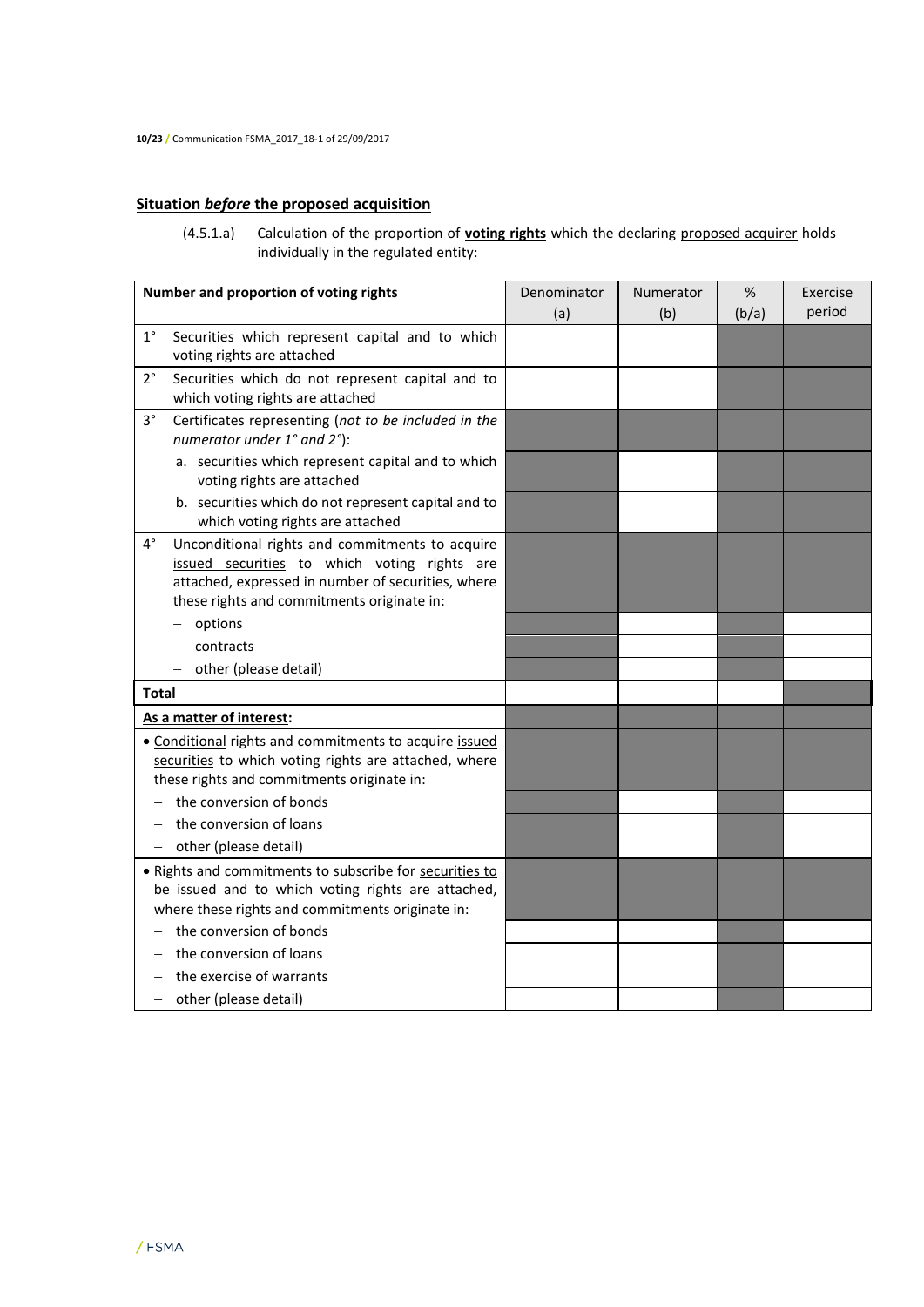# **Situation** *before* **the proposed acquisition**

(4.5.1.a) Calculation of the proportion of **voting rights** which the declaring proposed acquirer holds individually in the regulated entity:

|              | Number and proportion of voting rights                                                                                                                                                              | Denominator | Numerator | %     | Exercise |
|--------------|-----------------------------------------------------------------------------------------------------------------------------------------------------------------------------------------------------|-------------|-----------|-------|----------|
|              |                                                                                                                                                                                                     | (a)         | (b)       | (b/a) | period   |
| $1^{\circ}$  | Securities which represent capital and to which<br>voting rights are attached                                                                                                                       |             |           |       |          |
| $2^{\circ}$  | Securities which do not represent capital and to<br>which voting rights are attached                                                                                                                |             |           |       |          |
| $3^{\circ}$  | Certificates representing (not to be included in the<br>numerator under 1° and 2°):                                                                                                                 |             |           |       |          |
|              | a. securities which represent capital and to which<br>voting rights are attached                                                                                                                    |             |           |       |          |
|              | b. securities which do not represent capital and to<br>which voting rights are attached                                                                                                             |             |           |       |          |
| 4°           | Unconditional rights and commitments to acquire<br>issued securities to which voting rights are<br>attached, expressed in number of securities, where<br>these rights and commitments originate in: |             |           |       |          |
|              | options                                                                                                                                                                                             |             |           |       |          |
|              | contracts                                                                                                                                                                                           |             |           |       |          |
|              | other (please detail)                                                                                                                                                                               |             |           |       |          |
| <b>Total</b> |                                                                                                                                                                                                     |             |           |       |          |
|              | As a matter of interest:                                                                                                                                                                            |             |           |       |          |
|              | • Conditional rights and commitments to acquire issued<br>securities to which voting rights are attached, where<br>these rights and commitments originate in:                                       |             |           |       |          |
|              | the conversion of bonds                                                                                                                                                                             |             |           |       |          |
|              | the conversion of loans                                                                                                                                                                             |             |           |       |          |
|              | other (please detail)                                                                                                                                                                               |             |           |       |          |
|              | • Rights and commitments to subscribe for securities to<br>be issued and to which voting rights are attached,<br>where these rights and commitments originate in:                                   |             |           |       |          |
|              | the conversion of bonds                                                                                                                                                                             |             |           |       |          |
|              | the conversion of loans                                                                                                                                                                             |             |           |       |          |
|              | the exercise of warrants                                                                                                                                                                            |             |           |       |          |
| -            | other (please detail)                                                                                                                                                                               |             |           |       |          |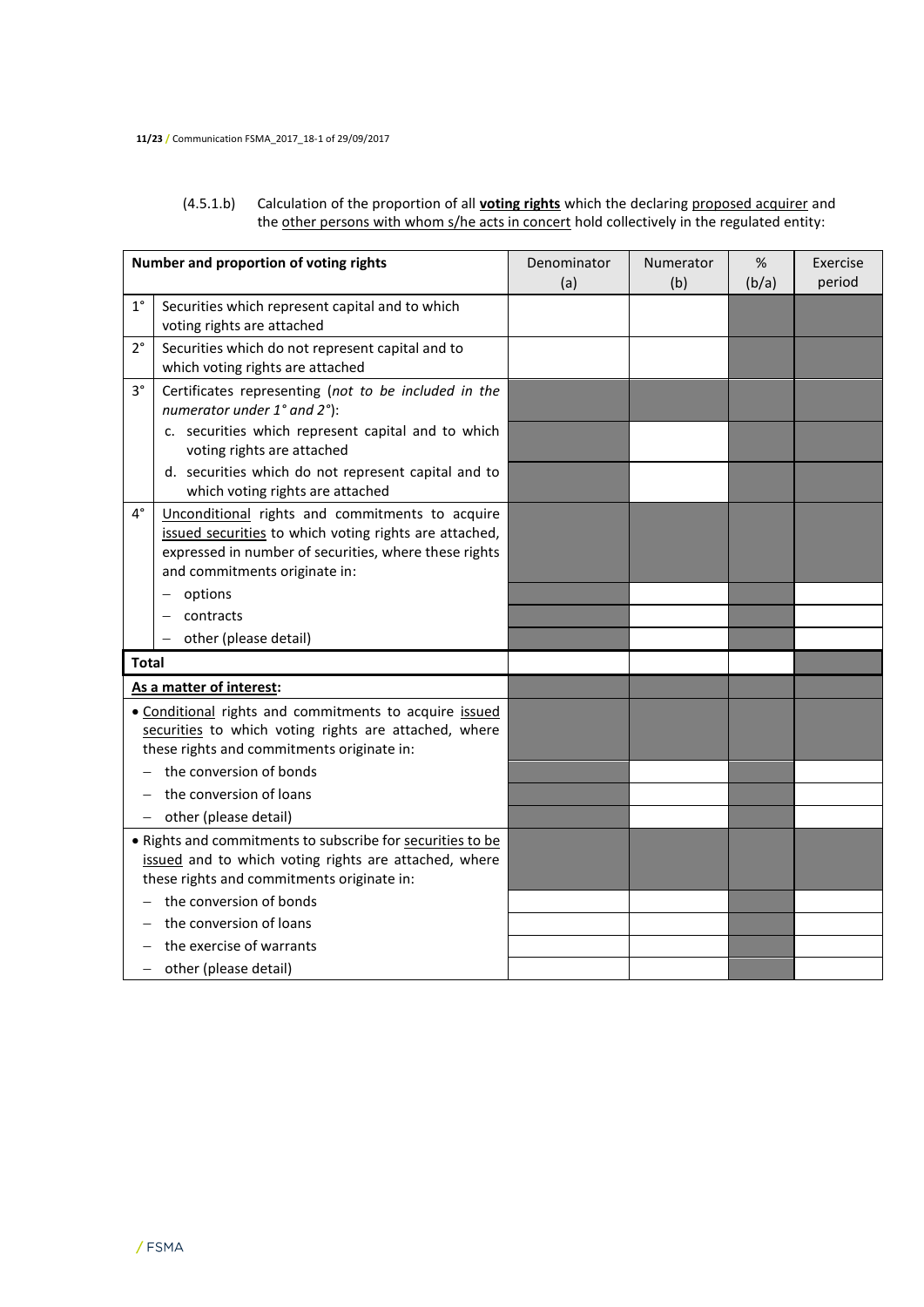#### (4.5.1.b) Calculation of the proportion of all **voting rights** which the declaring proposed acquirer and the other persons with whom s/he acts in concert hold collectively in the regulated entity:

|                   | Number and proportion of voting rights                                                                                                                                                              | Denominator | Numerator | %     | Exercise |
|-------------------|-----------------------------------------------------------------------------------------------------------------------------------------------------------------------------------------------------|-------------|-----------|-------|----------|
|                   |                                                                                                                                                                                                     | (a)         | (b)       | (b/a) | period   |
| $1^{\circ}$       | Securities which represent capital and to which<br>voting rights are attached                                                                                                                       |             |           |       |          |
| $2^{\circ}$       | Securities which do not represent capital and to<br>which voting rights are attached                                                                                                                |             |           |       |          |
| $3^{\circ}$       | Certificates representing (not to be included in the<br>numerator under 1° and 2°):                                                                                                                 |             |           |       |          |
|                   | c. securities which represent capital and to which<br>voting rights are attached                                                                                                                    |             |           |       |          |
|                   | d. securities which do not represent capital and to<br>which voting rights are attached                                                                                                             |             |           |       |          |
| $4^{\circ}$       | Unconditional rights and commitments to acquire<br>issued securities to which voting rights are attached,<br>expressed in number of securities, where these rights<br>and commitments originate in: |             |           |       |          |
|                   | options                                                                                                                                                                                             |             |           |       |          |
|                   | contracts                                                                                                                                                                                           |             |           |       |          |
|                   | other (please detail)                                                                                                                                                                               |             |           |       |          |
| Total             |                                                                                                                                                                                                     |             |           |       |          |
|                   | As a matter of interest:                                                                                                                                                                            |             |           |       |          |
|                   | . Conditional rights and commitments to acquire issued<br>securities to which voting rights are attached, where<br>these rights and commitments originate in:                                       |             |           |       |          |
|                   | the conversion of bonds                                                                                                                                                                             |             |           |       |          |
|                   | the conversion of loans                                                                                                                                                                             |             |           |       |          |
| $\qquad \qquad -$ | other (please detail)                                                                                                                                                                               |             |           |       |          |
|                   | . Rights and commitments to subscribe for securities to be<br>issued and to which voting rights are attached, where<br>these rights and commitments originate in:                                   |             |           |       |          |
|                   | the conversion of bonds                                                                                                                                                                             |             |           |       |          |
|                   | the conversion of loans                                                                                                                                                                             |             |           |       |          |
|                   | the exercise of warrants                                                                                                                                                                            |             |           |       |          |
|                   | - other (please detail)                                                                                                                                                                             |             |           |       |          |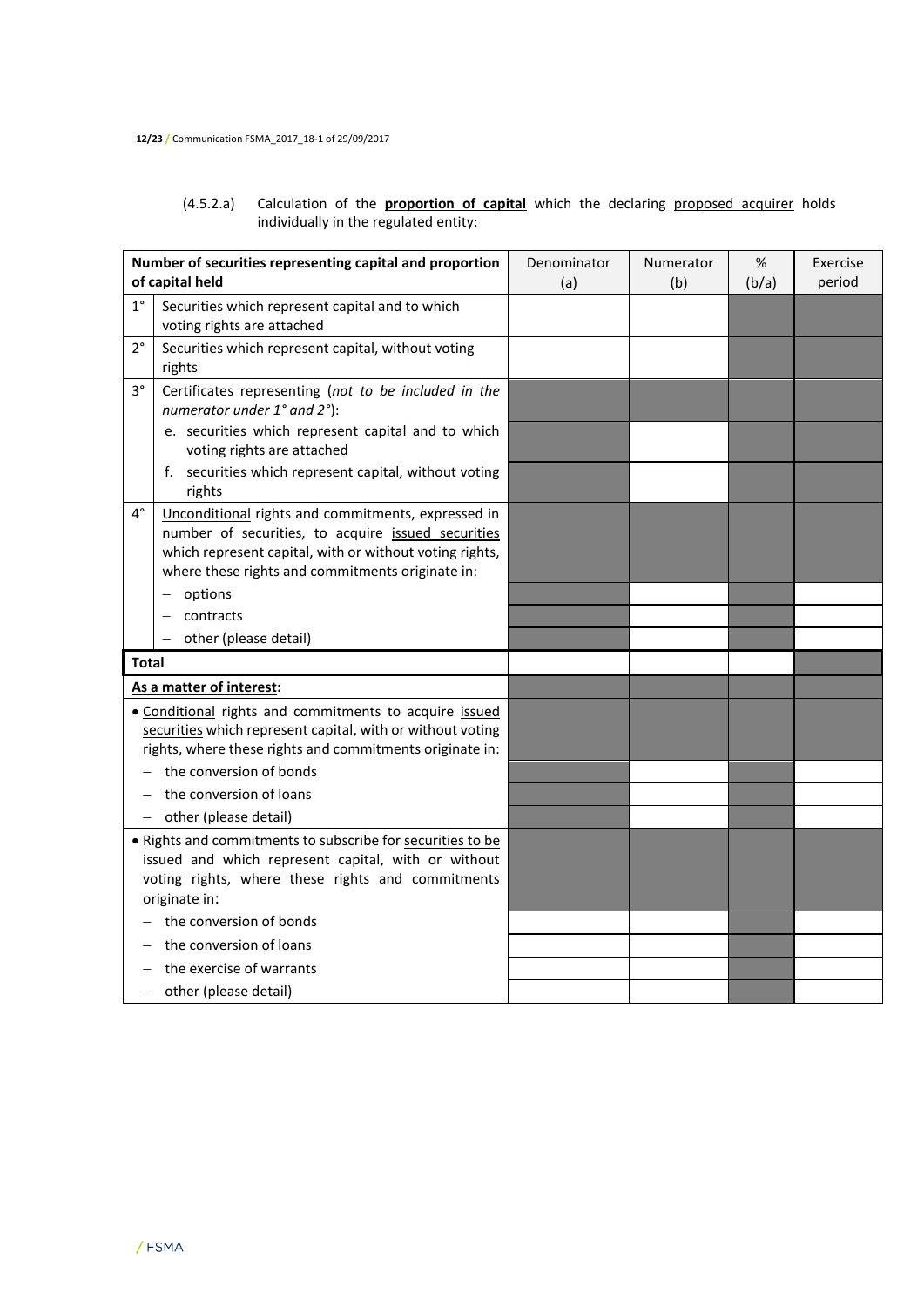## (4.5.2.a) Calculation of the **proportion of capital** which the declaring proposed acquirer holds individually in the regulated entity:

|                 | Number of securities representing capital and proportion                                                                                                                                                                | Denominator | Numerator | %     | Exercise |
|-----------------|-------------------------------------------------------------------------------------------------------------------------------------------------------------------------------------------------------------------------|-------------|-----------|-------|----------|
| of capital held |                                                                                                                                                                                                                         | (a)         | (b)       | (b/a) | period   |
| $1^{\circ}$     | Securities which represent capital and to which                                                                                                                                                                         |             |           |       |          |
|                 | voting rights are attached                                                                                                                                                                                              |             |           |       |          |
| $2^{\circ}$     | Securities which represent capital, without voting<br>rights                                                                                                                                                            |             |           |       |          |
| $3^{\circ}$     | Certificates representing (not to be included in the<br>numerator under 1° and 2°):                                                                                                                                     |             |           |       |          |
|                 | e. securities which represent capital and to which<br>voting rights are attached                                                                                                                                        |             |           |       |          |
|                 | f. securities which represent capital, without voting<br>rights                                                                                                                                                         |             |           |       |          |
| $4^{\circ}$     | Unconditional rights and commitments, expressed in<br>number of securities, to acquire issued securities<br>which represent capital, with or without voting rights,<br>where these rights and commitments originate in: |             |           |       |          |
|                 | options<br>$\qquad \qquad -$                                                                                                                                                                                            |             |           |       |          |
|                 | contracts                                                                                                                                                                                                               |             |           |       |          |
|                 | other (please detail)<br>$\overline{\phantom{0}}$                                                                                                                                                                       |             |           |       |          |
| <b>Total</b>    |                                                                                                                                                                                                                         |             |           |       |          |
|                 | As a matter of interest:                                                                                                                                                                                                |             |           |       |          |
|                 | . Conditional rights and commitments to acquire issued<br>securities which represent capital, with or without voting<br>rights, where these rights and commitments originate in:                                        |             |           |       |          |
|                 | the conversion of bonds                                                                                                                                                                                                 |             |           |       |          |
|                 | the conversion of loans                                                                                                                                                                                                 |             |           |       |          |
|                 | - other (please detail)                                                                                                                                                                                                 |             |           |       |          |
|                 | . Rights and commitments to subscribe for securities to be<br>issued and which represent capital, with or without<br>voting rights, where these rights and commitments<br>originate in:                                 |             |           |       |          |
|                 | the conversion of bonds                                                                                                                                                                                                 |             |           |       |          |
|                 | the conversion of loans                                                                                                                                                                                                 |             |           |       |          |
|                 | the exercise of warrants                                                                                                                                                                                                |             |           |       |          |
|                 | - other (please detail)                                                                                                                                                                                                 |             |           |       |          |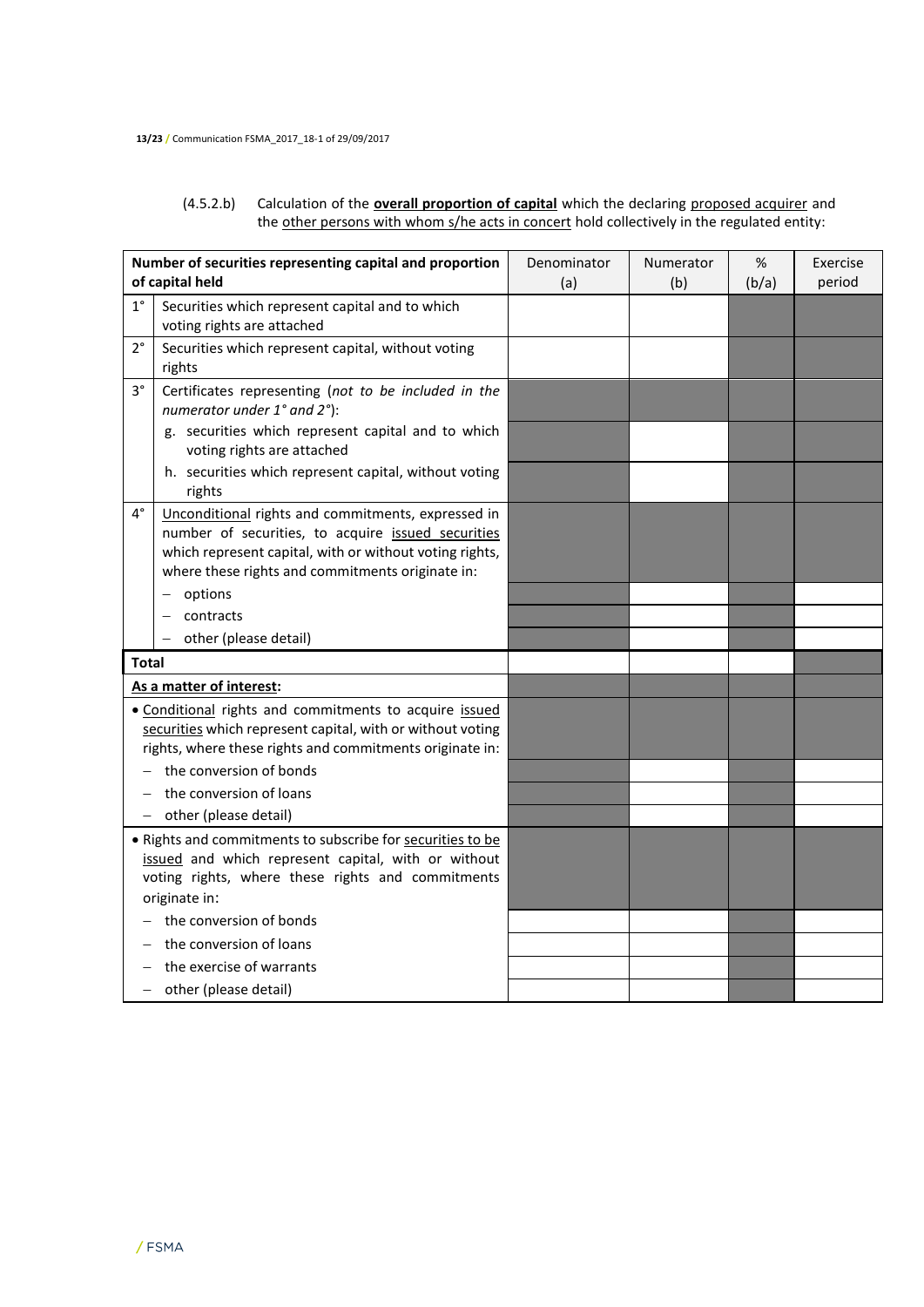#### (4.5.2.b) Calculation of the **overall proportion of capital** which the declaring proposed acquirer and the other persons with whom s/he acts in concert hold collectively in the regulated entity:

|                         | Number of securities representing capital and proportion                                                                                                                                                                | Denominator | Numerator | %     | Exercise |
|-------------------------|-------------------------------------------------------------------------------------------------------------------------------------------------------------------------------------------------------------------------|-------------|-----------|-------|----------|
|                         | of capital held                                                                                                                                                                                                         | (a)         | (b)       | (b/a) | period   |
| $1^{\circ}$             | Securities which represent capital and to which                                                                                                                                                                         |             |           |       |          |
|                         | voting rights are attached                                                                                                                                                                                              |             |           |       |          |
| $2^{\circ}$             | Securities which represent capital, without voting<br>rights                                                                                                                                                            |             |           |       |          |
| $3^{\circ}$             | Certificates representing (not to be included in the<br>numerator under 1° and 2°):                                                                                                                                     |             |           |       |          |
|                         | g. securities which represent capital and to which<br>voting rights are attached                                                                                                                                        |             |           |       |          |
|                         | h. securities which represent capital, without voting<br>rights                                                                                                                                                         |             |           |       |          |
| $4^{\circ}$             | Unconditional rights and commitments, expressed in<br>number of securities, to acquire issued securities<br>which represent capital, with or without voting rights,<br>where these rights and commitments originate in: |             |           |       |          |
|                         | options<br>-                                                                                                                                                                                                            |             |           |       |          |
|                         | contracts                                                                                                                                                                                                               |             |           |       |          |
|                         | other (please detail)                                                                                                                                                                                                   |             |           |       |          |
| <b>Total</b>            |                                                                                                                                                                                                                         |             |           |       |          |
|                         | As a matter of interest:                                                                                                                                                                                                |             |           |       |          |
|                         | · Conditional rights and commitments to acquire issued<br>securities which represent capital, with or without voting<br>rights, where these rights and commitments originate in:                                        |             |           |       |          |
|                         | the conversion of bonds                                                                                                                                                                                                 |             |           |       |          |
|                         | the conversion of loans                                                                                                                                                                                                 |             |           |       |          |
|                         | - other (please detail)                                                                                                                                                                                                 |             |           |       |          |
|                         | . Rights and commitments to subscribe for securities to be<br>issued and which represent capital, with or without<br>voting rights, where these rights and commitments<br>originate in:                                 |             |           |       |          |
| the conversion of bonds |                                                                                                                                                                                                                         |             |           |       |          |
|                         | the conversion of loans                                                                                                                                                                                                 |             |           |       |          |
|                         | the exercise of warrants                                                                                                                                                                                                |             |           |       |          |
| $\qquad \qquad -$       | other (please detail)                                                                                                                                                                                                   |             |           |       |          |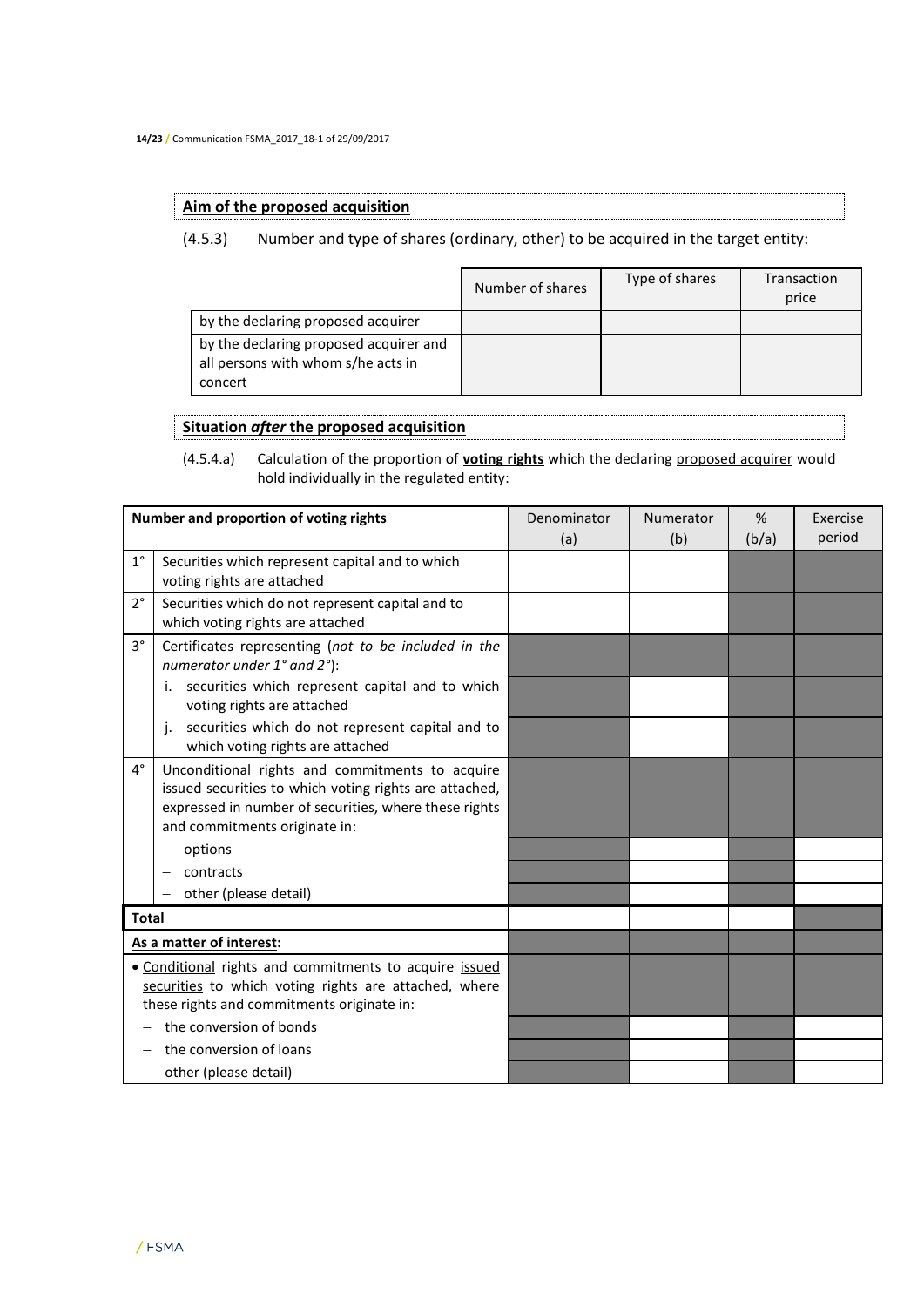## **Aim of the proposed acquisition**

## (4.5.3) Number and type of shares (ordinary, other) to be acquired in the target entity:

|                                                                                         | Number of shares | Type of shares | Transaction<br>price |
|-----------------------------------------------------------------------------------------|------------------|----------------|----------------------|
| by the declaring proposed acquirer                                                      |                  |                |                      |
| by the declaring proposed acquirer and<br>all persons with whom s/he acts in<br>concert |                  |                |                      |

## **Situation** *after* **the proposed acquisition**

(4.5.4.a) Calculation of the proportion of **voting rights** which the declaring proposed acquirer would hold individually in the regulated entity:

|              | Number and proportion of voting rights                                                                                                                                                              | Denominator | Numerator | %     | Exercise |
|--------------|-----------------------------------------------------------------------------------------------------------------------------------------------------------------------------------------------------|-------------|-----------|-------|----------|
|              |                                                                                                                                                                                                     | (a)         | (b)       | (b/a) | period   |
| $1^{\circ}$  | Securities which represent capital and to which<br>voting rights are attached                                                                                                                       |             |           |       |          |
| $2^{\circ}$  | Securities which do not represent capital and to<br>which voting rights are attached                                                                                                                |             |           |       |          |
| $3^{\circ}$  | Certificates representing (not to be included in the<br>numerator under 1° and 2°):                                                                                                                 |             |           |       |          |
|              | securities which represent capital and to which<br>i.<br>voting rights are attached                                                                                                                 |             |           |       |          |
|              | securities which do not represent capital and to<br>j.<br>which voting rights are attached                                                                                                          |             |           |       |          |
| $4^{\circ}$  | Unconditional rights and commitments to acquire<br>issued securities to which voting rights are attached,<br>expressed in number of securities, where these rights<br>and commitments originate in: |             |           |       |          |
|              | options                                                                                                                                                                                             |             |           |       |          |
|              | contracts                                                                                                                                                                                           |             |           |       |          |
|              | other (please detail)                                                                                                                                                                               |             |           |       |          |
| <b>Total</b> |                                                                                                                                                                                                     |             |           |       |          |
|              | As a matter of interest:                                                                                                                                                                            |             |           |       |          |
|              | • Conditional rights and commitments to acquire issued<br>securities to which voting rights are attached, where<br>these rights and commitments originate in:                                       |             |           |       |          |
|              | the conversion of bonds                                                                                                                                                                             |             |           |       |          |
|              | the conversion of loans                                                                                                                                                                             |             |           |       |          |
| $\equiv$     | other (please detail)                                                                                                                                                                               |             |           |       |          |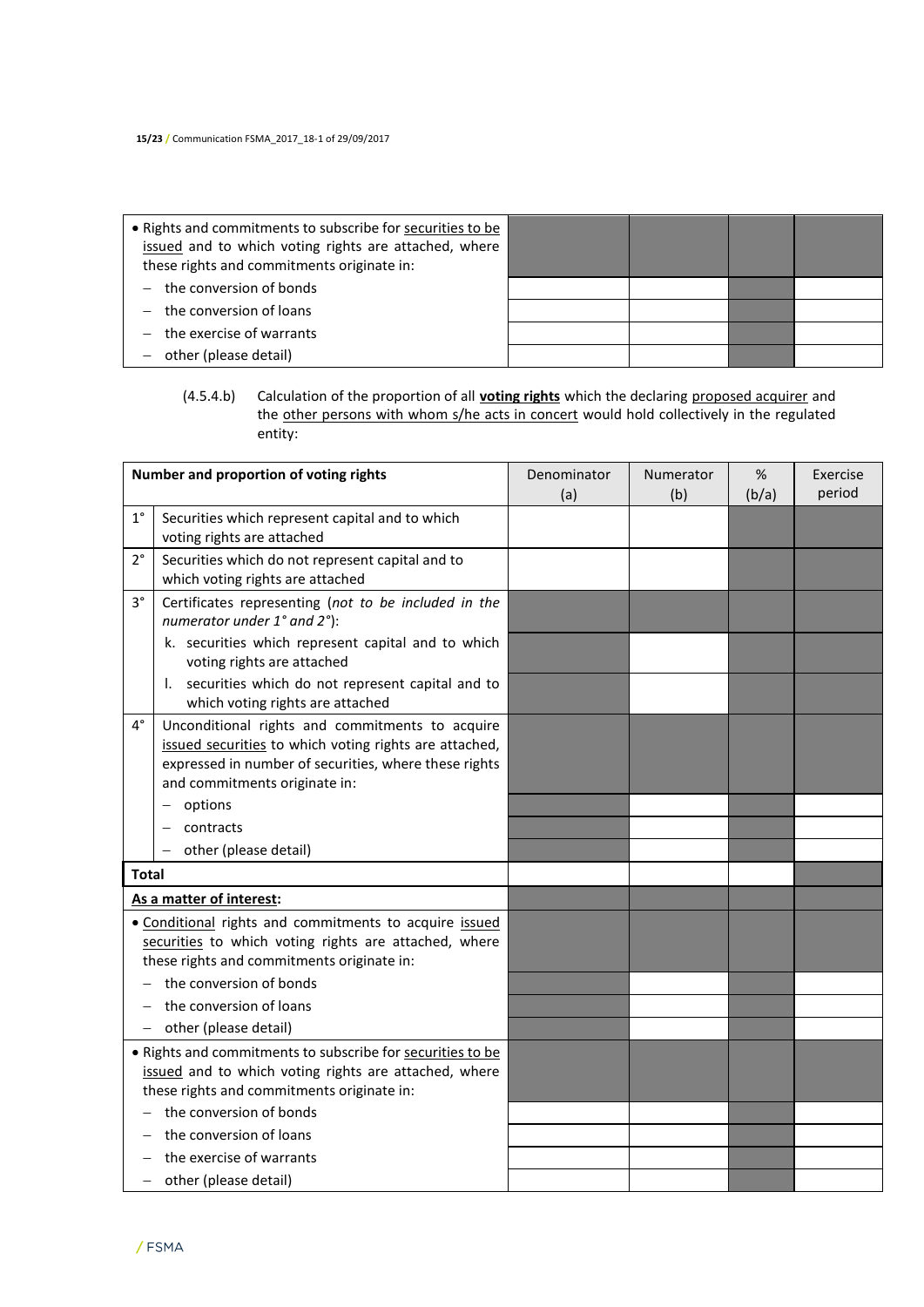| • Rights and commitments to subscribe for securities to be<br>issued and to which voting rights are attached, where<br>these rights and commitments originate in: |  |  |
|-------------------------------------------------------------------------------------------------------------------------------------------------------------------|--|--|
| the conversion of bonds                                                                                                                                           |  |  |
| $-$ the conversion of loans                                                                                                                                       |  |  |
| the exercise of warrants                                                                                                                                          |  |  |
| other (please detail)                                                                                                                                             |  |  |

## (4.5.4.b) Calculation of the proportion of all **voting rights** which the declaring proposed acquirer and the other persons with whom s/he acts in concert would hold collectively in the regulated entity:

|                   | Number and proportion of voting rights                                                                                                                                                              | Denominator<br>(a) | Numerator<br>(b) | %<br>(b/a) | Exercise<br>period |
|-------------------|-----------------------------------------------------------------------------------------------------------------------------------------------------------------------------------------------------|--------------------|------------------|------------|--------------------|
| $1^{\circ}$       | Securities which represent capital and to which<br>voting rights are attached                                                                                                                       |                    |                  |            |                    |
| $2^{\circ}$       | Securities which do not represent capital and to<br>which voting rights are attached                                                                                                                |                    |                  |            |                    |
| $3^{\circ}$       | Certificates representing (not to be included in the<br>numerator under 1° and 2°):                                                                                                                 |                    |                  |            |                    |
|                   | k. securities which represent capital and to which<br>voting rights are attached                                                                                                                    |                    |                  |            |                    |
|                   | securities which do not represent capital and to<br>I.<br>which voting rights are attached                                                                                                          |                    |                  |            |                    |
| $4^{\circ}$       | Unconditional rights and commitments to acquire<br>issued securities to which voting rights are attached,<br>expressed in number of securities, where these rights<br>and commitments originate in: |                    |                  |            |                    |
|                   | options                                                                                                                                                                                             |                    |                  |            |                    |
|                   | contracts                                                                                                                                                                                           |                    |                  |            |                    |
|                   | other (please detail)                                                                                                                                                                               |                    |                  |            |                    |
| <b>Total</b>      |                                                                                                                                                                                                     |                    |                  |            |                    |
|                   | As a matter of interest:                                                                                                                                                                            |                    |                  |            |                    |
|                   | • Conditional rights and commitments to acquire issued<br>securities to which voting rights are attached, where<br>these rights and commitments originate in:                                       |                    |                  |            |                    |
|                   | the conversion of bonds                                                                                                                                                                             |                    |                  |            |                    |
|                   | the conversion of loans                                                                                                                                                                             |                    |                  |            |                    |
| $\qquad \qquad -$ | other (please detail)                                                                                                                                                                               |                    |                  |            |                    |
|                   | • Rights and commitments to subscribe for securities to be<br>issued and to which voting rights are attached, where<br>these rights and commitments originate in:                                   |                    |                  |            |                    |
|                   | the conversion of bonds                                                                                                                                                                             |                    |                  |            |                    |
|                   | the conversion of loans                                                                                                                                                                             |                    |                  |            |                    |
|                   | the exercise of warrants                                                                                                                                                                            |                    |                  |            |                    |
|                   | other (please detail)                                                                                                                                                                               |                    |                  |            |                    |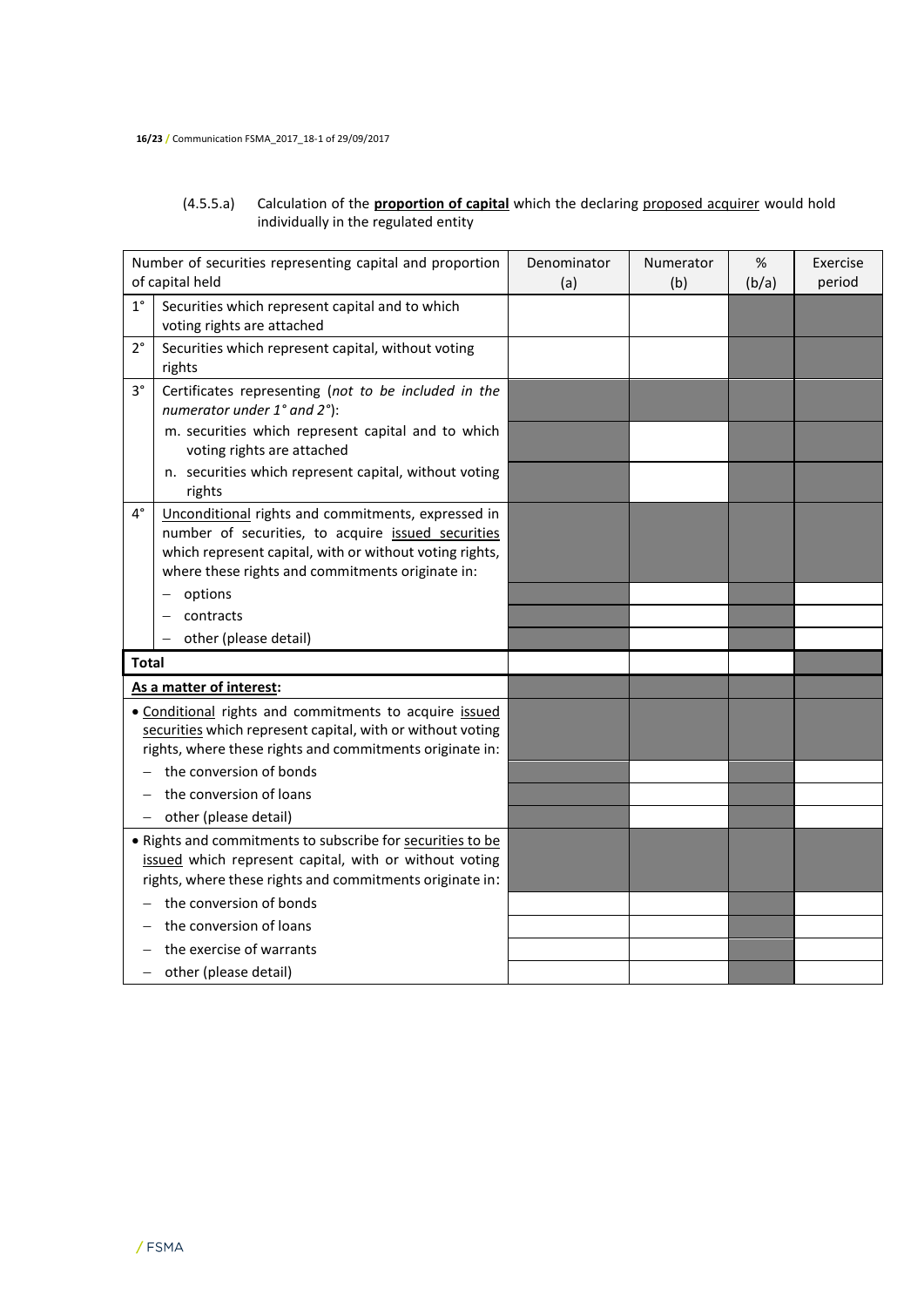## (4.5.5.a) Calculation of the **proportion of capital** which the declaring proposed acquirer would hold individually in the regulated entity

| Number of securities representing capital and proportion<br>of capital held |                                                                                                                                                                                                                         | Denominator<br>(a) | Numerator<br>(b) | $\%$<br>(b/a) | Exercise<br>period |
|-----------------------------------------------------------------------------|-------------------------------------------------------------------------------------------------------------------------------------------------------------------------------------------------------------------------|--------------------|------------------|---------------|--------------------|
| $1^{\circ}$                                                                 | Securities which represent capital and to which<br>voting rights are attached                                                                                                                                           |                    |                  |               |                    |
| $2^{\circ}$                                                                 | Securities which represent capital, without voting<br>rights                                                                                                                                                            |                    |                  |               |                    |
| $3^{\circ}$                                                                 | Certificates representing (not to be included in the<br>numerator under 1° and 2°):                                                                                                                                     |                    |                  |               |                    |
|                                                                             | m. securities which represent capital and to which<br>voting rights are attached                                                                                                                                        |                    |                  |               |                    |
|                                                                             | n. securities which represent capital, without voting<br>rights                                                                                                                                                         |                    |                  |               |                    |
| $4^{\circ}$                                                                 | Unconditional rights and commitments, expressed in<br>number of securities, to acquire issued securities<br>which represent capital, with or without voting rights,<br>where these rights and commitments originate in: |                    |                  |               |                    |
|                                                                             | options                                                                                                                                                                                                                 |                    |                  |               |                    |
|                                                                             | contracts                                                                                                                                                                                                               |                    |                  |               |                    |
|                                                                             | other (please detail)                                                                                                                                                                                                   |                    |                  |               |                    |
| <b>Total</b>                                                                |                                                                                                                                                                                                                         |                    |                  |               |                    |
|                                                                             | As a matter of interest:                                                                                                                                                                                                |                    |                  |               |                    |
|                                                                             | • Conditional rights and commitments to acquire issued<br>securities which represent capital, with or without voting<br>rights, where these rights and commitments originate in:                                        |                    |                  |               |                    |
|                                                                             | the conversion of bonds                                                                                                                                                                                                 |                    |                  |               |                    |
|                                                                             | the conversion of loans                                                                                                                                                                                                 |                    |                  |               |                    |
| -                                                                           | other (please detail)                                                                                                                                                                                                   |                    |                  |               |                    |
|                                                                             | . Rights and commitments to subscribe for securities to be<br>issued which represent capital, with or without voting<br>rights, where these rights and commitments originate in:                                        |                    |                  |               |                    |
|                                                                             | the conversion of bonds                                                                                                                                                                                                 |                    |                  |               |                    |
|                                                                             | the conversion of loans                                                                                                                                                                                                 |                    |                  |               |                    |
|                                                                             | the exercise of warrants                                                                                                                                                                                                |                    |                  |               |                    |
|                                                                             | other (please detail)                                                                                                                                                                                                   |                    |                  |               |                    |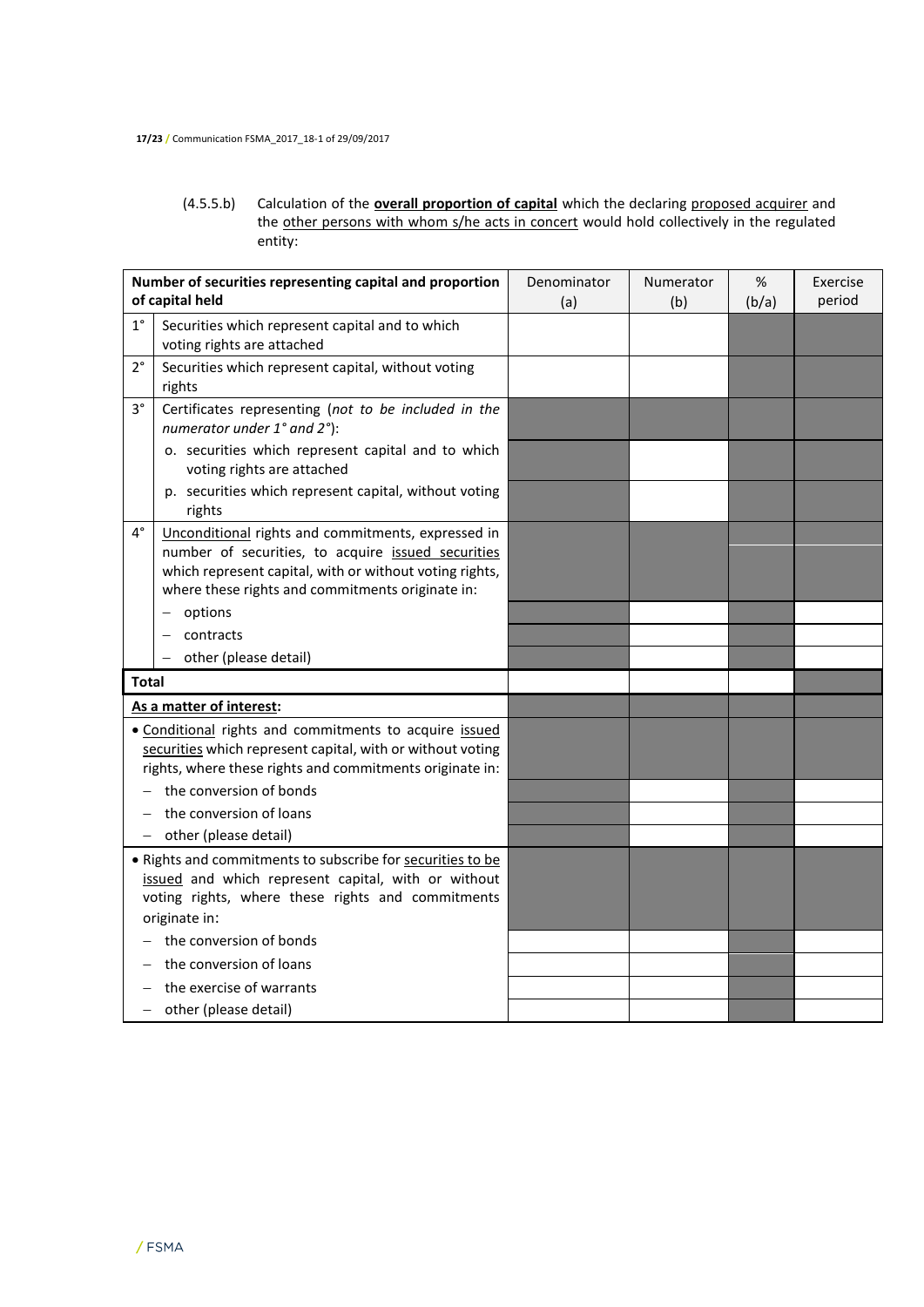(4.5.5.b) Calculation of the **overall proportion of capital** which the declaring proposed acquirer and the other persons with whom s/he acts in concert would hold collectively in the regulated entity:

| Number of securities representing capital and proportion<br>of capital held                                                                                                      |                                                                                                                                                                                                                         | Denominator<br>(a) | Numerator<br>(b) | %<br>(b/a) | Exercise<br>period |
|----------------------------------------------------------------------------------------------------------------------------------------------------------------------------------|-------------------------------------------------------------------------------------------------------------------------------------------------------------------------------------------------------------------------|--------------------|------------------|------------|--------------------|
| $1^{\circ}$                                                                                                                                                                      | Securities which represent capital and to which<br>voting rights are attached                                                                                                                                           |                    |                  |            |                    |
| $2^{\circ}$                                                                                                                                                                      | Securities which represent capital, without voting<br>rights                                                                                                                                                            |                    |                  |            |                    |
| $3^{\circ}$                                                                                                                                                                      | Certificates representing (not to be included in the<br>numerator under 1° and 2°):                                                                                                                                     |                    |                  |            |                    |
|                                                                                                                                                                                  | o. securities which represent capital and to which<br>voting rights are attached                                                                                                                                        |                    |                  |            |                    |
|                                                                                                                                                                                  | p. securities which represent capital, without voting<br>rights                                                                                                                                                         |                    |                  |            |                    |
| $4^{\circ}$                                                                                                                                                                      | Unconditional rights and commitments, expressed in<br>number of securities, to acquire issued securities<br>which represent capital, with or without voting rights,<br>where these rights and commitments originate in: |                    |                  |            |                    |
|                                                                                                                                                                                  | options                                                                                                                                                                                                                 |                    |                  |            |                    |
|                                                                                                                                                                                  | contracts                                                                                                                                                                                                               |                    |                  |            |                    |
|                                                                                                                                                                                  | other (please detail)                                                                                                                                                                                                   |                    |                  |            |                    |
| <b>Total</b>                                                                                                                                                                     |                                                                                                                                                                                                                         |                    |                  |            |                    |
| As a matter of interest:                                                                                                                                                         |                                                                                                                                                                                                                         |                    |                  |            |                    |
| · Conditional rights and commitments to acquire issued<br>securities which represent capital, with or without voting<br>rights, where these rights and commitments originate in: |                                                                                                                                                                                                                         |                    |                  |            |                    |
|                                                                                                                                                                                  | the conversion of bonds                                                                                                                                                                                                 |                    |                  |            |                    |
|                                                                                                                                                                                  | the conversion of loans                                                                                                                                                                                                 |                    |                  |            |                    |
| $-$                                                                                                                                                                              | other (please detail)                                                                                                                                                                                                   |                    |                  |            |                    |
|                                                                                                                                                                                  | . Rights and commitments to subscribe for securities to be<br>issued and which represent capital, with or without<br>voting rights, where these rights and commitments<br>originate in:                                 |                    |                  |            |                    |
|                                                                                                                                                                                  | the conversion of bonds                                                                                                                                                                                                 |                    |                  |            |                    |
|                                                                                                                                                                                  | the conversion of loans                                                                                                                                                                                                 |                    |                  |            |                    |
|                                                                                                                                                                                  | the exercise of warrants                                                                                                                                                                                                |                    |                  |            |                    |
| - other (please detail)                                                                                                                                                          |                                                                                                                                                                                                                         |                    |                  |            |                    |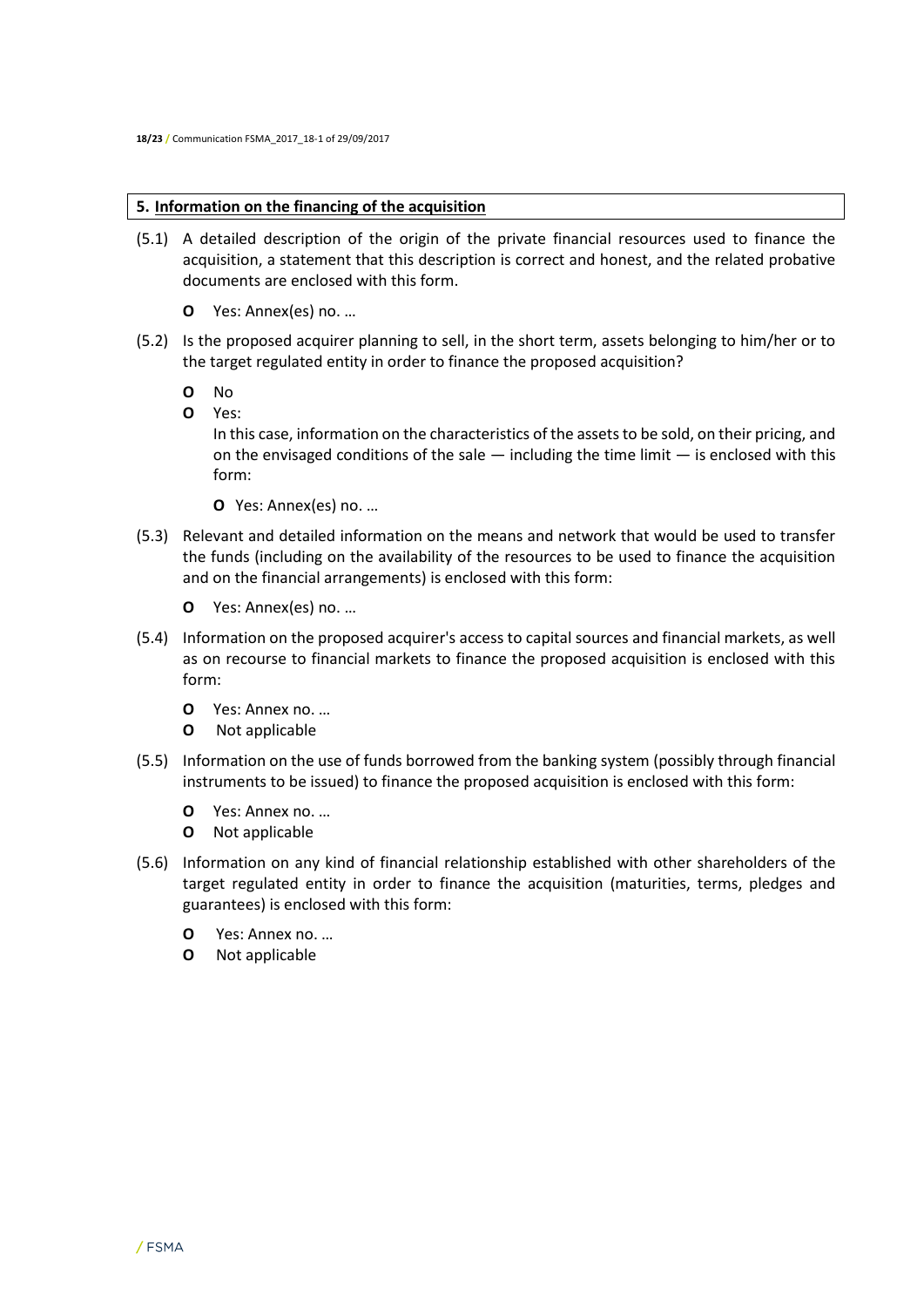## **5. Information on the financing of the acquisition**

- (5.1) A detailed description of the origin of the private financial resources used to finance the acquisition, a statement that this description is correct and honest, and the related probative documents are enclosed with this form.
	- **O** Yes: Annex(es) no. …
- (5.2) Is the proposed acquirer planning to sell, in the short term, assets belonging to him/her or to the target regulated entity in order to finance the proposed acquisition?
	- **O** No
	- **O** Yes:

In this case, information on the characteristics of the assets to be sold, on their pricing, and on the envisaged conditions of the sale  $-$  including the time limit  $-$  is enclosed with this form:

- **O** Yes: Annex(es) no. …
- (5.3) Relevant and detailed information on the means and network that would be used to transfer the funds (including on the availability of the resources to be used to finance the acquisition and on the financial arrangements) is enclosed with this form:
	- **O** Yes: Annex(es) no. …
- (5.4) Information on the proposed acquirer's access to capital sources and financial markets, as well as on recourse to financial markets to finance the proposed acquisition is enclosed with this form:
	- **O** Yes: Annex no. …
	- **O** Not applicable
- (5.5) Information on the use of funds borrowed from the banking system (possibly through financial instruments to be issued) to finance the proposed acquisition is enclosed with this form:
	- **O** Yes: Annex no. …
	- **O** Not applicable
- (5.6) Information on any kind of financial relationship established with other shareholders of the target regulated entity in order to finance the acquisition (maturities, terms, pledges and guarantees) is enclosed with this form:
	- **O** Yes: Annex no. …
	- **O** Not applicable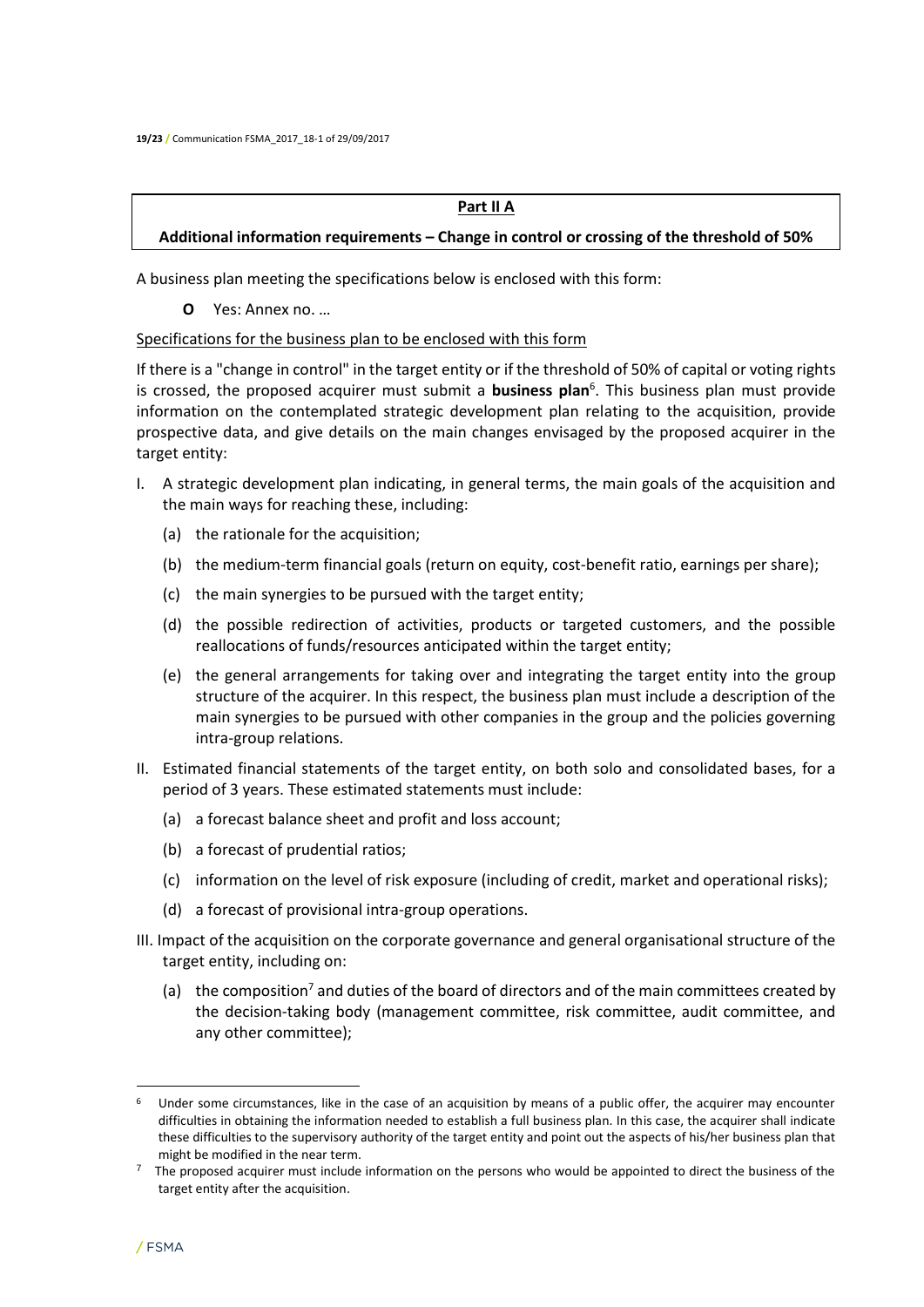#### **Part II A**

## **Additional information requirements – Change in control or crossing of the threshold of 50%**

A business plan meeting the specifications below is enclosed with this form:

**O** Yes: Annex no. …

#### Specifications for the business plan to be enclosed with this form

If there is a "change in control" in the target entity or if the threshold of 50% of capital or voting rights is crossed, the proposed acquirer must submit a **business plan**<sup>6</sup> . This business plan must provide information on the contemplated strategic development plan relating to the acquisition, provide prospective data, and give details on the main changes envisaged by the proposed acquirer in the target entity:

- I. A strategic development plan indicating, in general terms, the main goals of the acquisition and the main ways for reaching these, including:
	- (a) the rationale for the acquisition;
	- (b) the medium-term financial goals (return on equity, cost-benefit ratio, earnings per share);
	- (c) the main synergies to be pursued with the target entity;
	- (d) the possible redirection of activities, products or targeted customers, and the possible reallocations of funds/resources anticipated within the target entity;
	- (e) the general arrangements for taking over and integrating the target entity into the group structure of the acquirer. In this respect, the business plan must include a description of the main synergies to be pursued with other companies in the group and the policies governing intra-group relations.
- II. Estimated financial statements of the target entity, on both solo and consolidated bases, for a period of 3 years. These estimated statements must include:
	- (a) a forecast balance sheet and profit and loss account;
	- (b) a forecast of prudential ratios;
	- (c) information on the level of risk exposure (including of credit, market and operational risks);
	- (d) a forecast of provisional intra-group operations.
- III. Impact of the acquisition on the corporate governance and general organisational structure of the target entity, including on:
	- (a) the composition<sup>7</sup> and duties of the board of directors and of the main committees created by the decision-taking body (management committee, risk committee, audit committee, and any other committee);

l

 $6$  Under some circumstances, like in the case of an acquisition by means of a public offer, the acquirer may encounter difficulties in obtaining the information needed to establish a full business plan. In this case, the acquirer shall indicate these difficulties to the supervisory authority of the target entity and point out the aspects of his/her business plan that might be modified in the near term.

<sup>7</sup> The proposed acquirer must include information on the persons who would be appointed to direct the business of the target entity after the acquisition.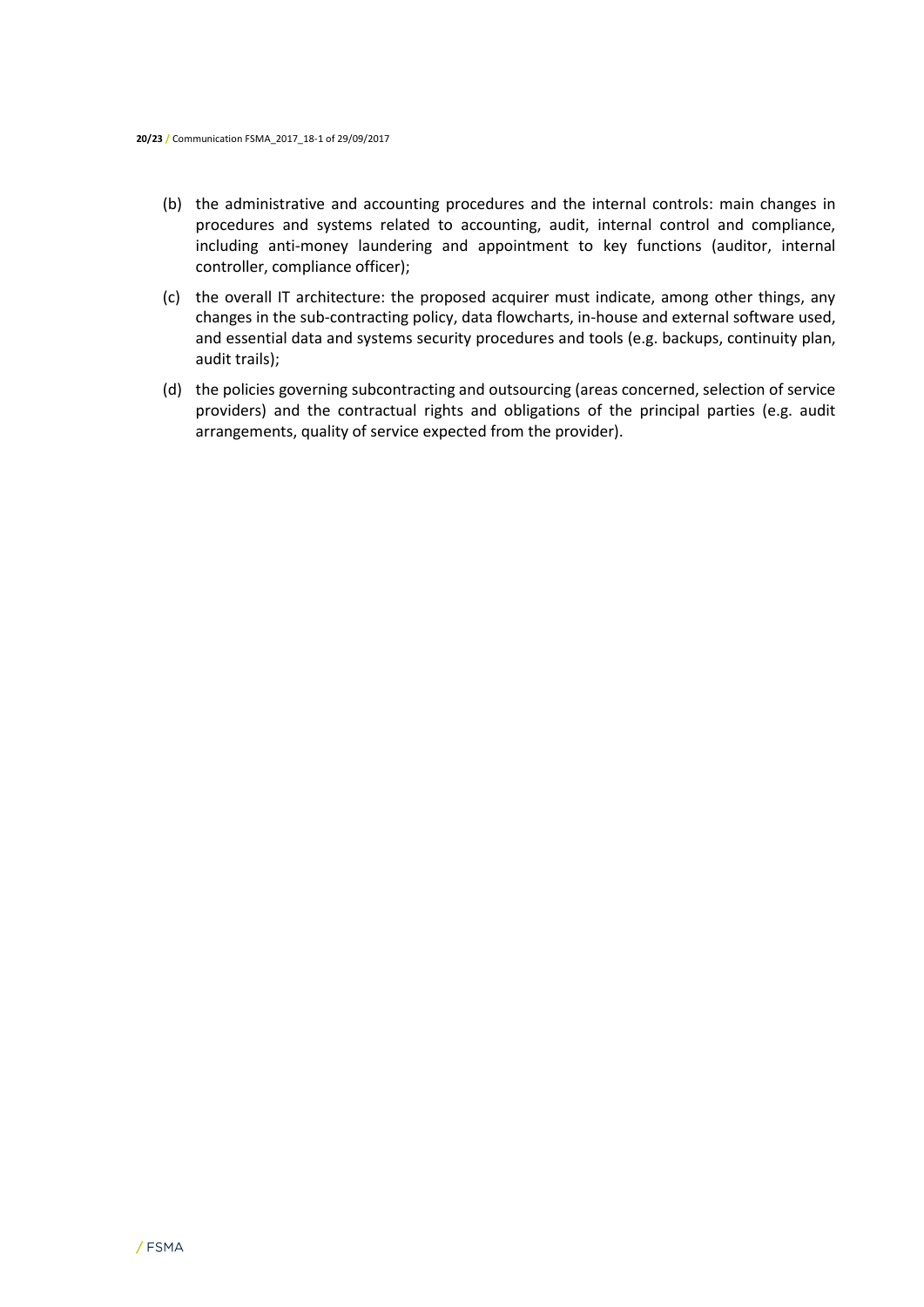- (b) the administrative and accounting procedures and the internal controls: main changes in procedures and systems related to accounting, audit, internal control and compliance, including anti-money laundering and appointment to key functions (auditor, internal controller, compliance officer);
- (c) the overall IT architecture: the proposed acquirer must indicate, among other things, any changes in the sub-contracting policy, data flowcharts, in-house and external software used, and essential data and systems security procedures and tools (e.g. backups, continuity plan, audit trails);
- (d) the policies governing subcontracting and outsourcing (areas concerned, selection of service providers) and the contractual rights and obligations of the principal parties (e.g. audit arrangements, quality of service expected from the provider).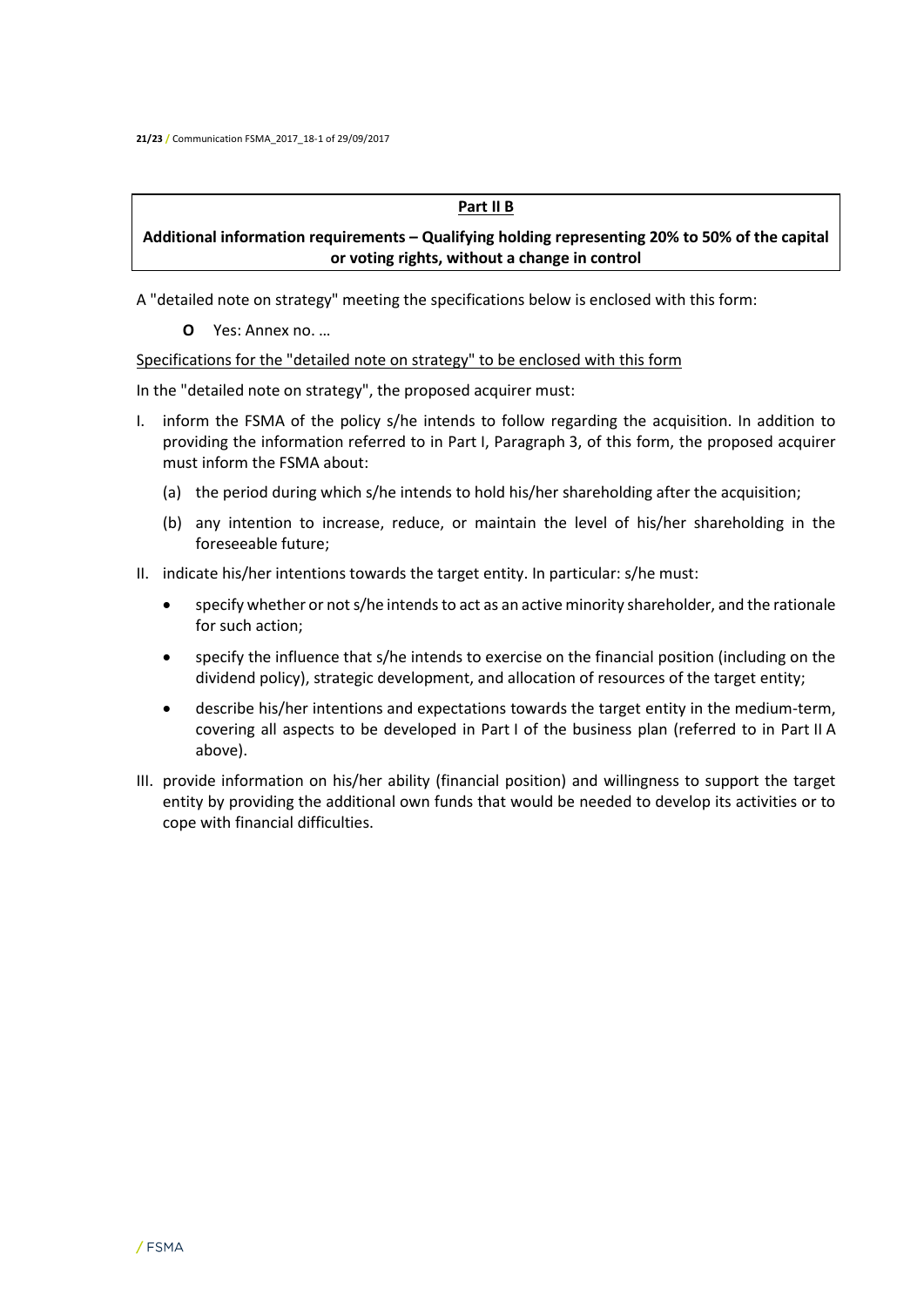#### **Part II B**

## **Additional information requirements – Qualifying holding representing 20% to 50% of the capital or voting rights, without a change in control**

A "detailed note on strategy" meeting the specifications below is enclosed with this form:

**O** Yes: Annex no. …

#### Specifications for the "detailed note on strategy" to be enclosed with this form

In the "detailed note on strategy", the proposed acquirer must:

- I. inform the FSMA of the policy s/he intends to follow regarding the acquisition. In addition to providing the information referred to in Part I, Paragraph 3, of this form, the proposed acquirer must inform the FSMA about:
	- (a) the period during which s/he intends to hold his/her shareholding after the acquisition;
	- (b) any intention to increase, reduce, or maintain the level of his/her shareholding in the foreseeable future;
- II. indicate his/her intentions towards the target entity. In particular: s/he must:
	- specify whether or not s/he intends to act as an active minority shareholder, and the rationale for such action;
	- specify the influence that s/he intends to exercise on the financial position (including on the dividend policy), strategic development, and allocation of resources of the target entity;
	- describe his/her intentions and expectations towards the target entity in the medium-term, covering all aspects to be developed in Part I of the business plan (referred to in Part II A above).
- III. provide information on his/her ability (financial position) and willingness to support the target entity by providing the additional own funds that would be needed to develop its activities or to cope with financial difficulties.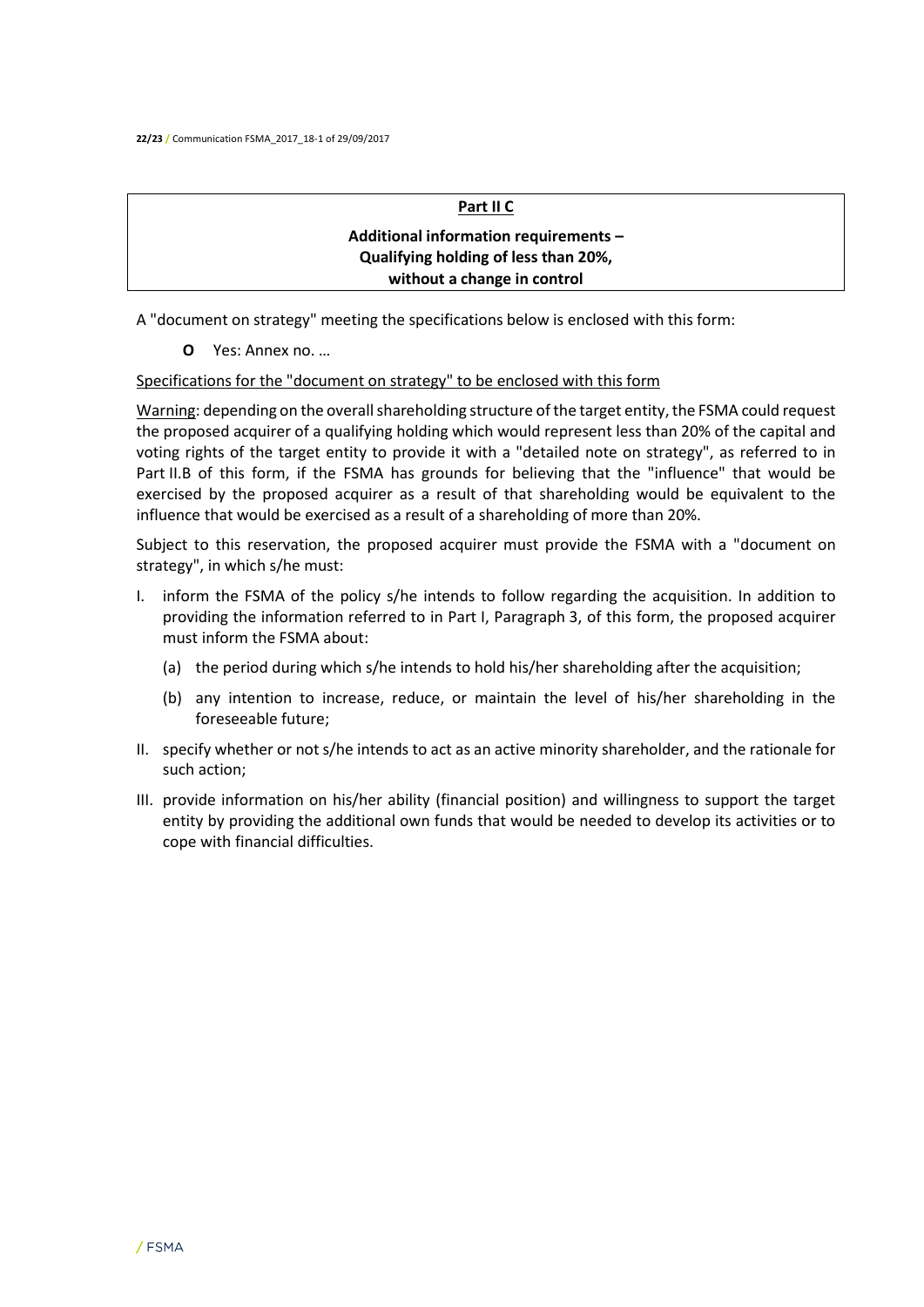#### **Part II C**

## **Additional information requirements – Qualifying holding of less than 20%, without a change in control**

A "document on strategy" meeting the specifications below is enclosed with this form:

**O** Yes: Annex no. …

Specifications for the "document on strategy" to be enclosed with this form

Warning: depending on the overall shareholding structure of the target entity, the FSMA could request the proposed acquirer of a qualifying holding which would represent less than 20% of the capital and voting rights of the target entity to provide it with a "detailed note on strategy", as referred to in Part II.B of this form, if the FSMA has grounds for believing that the "influence" that would be exercised by the proposed acquirer as a result of that shareholding would be equivalent to the influence that would be exercised as a result of a shareholding of more than 20%.

Subject to this reservation, the proposed acquirer must provide the FSMA with a "document on strategy", in which s/he must:

- I. inform the FSMA of the policy s/he intends to follow regarding the acquisition. In addition to providing the information referred to in Part I, Paragraph 3, of this form, the proposed acquirer must inform the FSMA about:
	- (a) the period during which s/he intends to hold his/her shareholding after the acquisition;
	- (b) any intention to increase, reduce, or maintain the level of his/her shareholding in the foreseeable future;
- II. specify whether or not s/he intends to act as an active minority shareholder, and the rationale for such action;
- III. provide information on his/her ability (financial position) and willingness to support the target entity by providing the additional own funds that would be needed to develop its activities or to cope with financial difficulties.